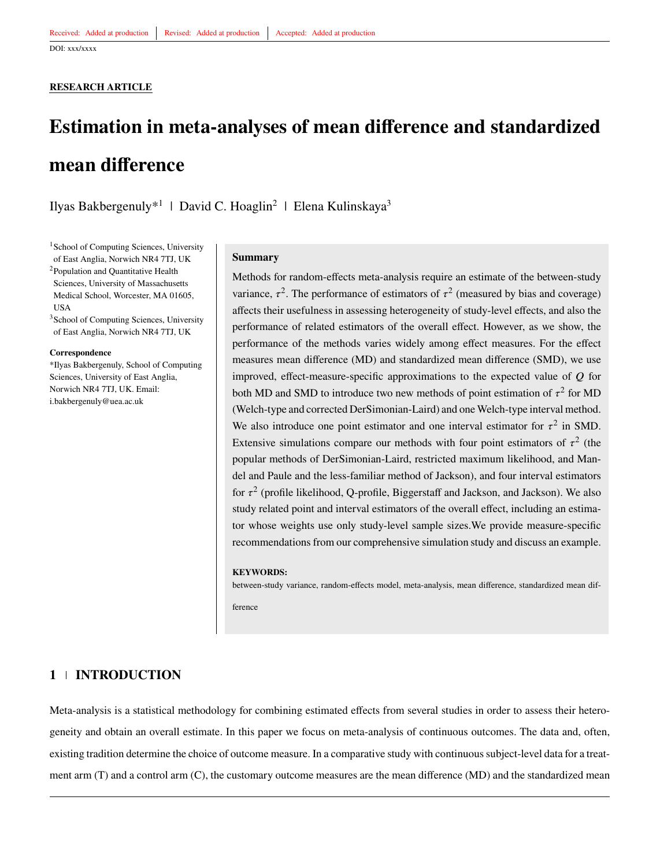DOI: xxx/xxxx

#### **RESEARCH ARTICLE**

# **Estimation in meta-analyses of mean difference and standardized mean difference**

Ilyas Bakbergenuly<sup>\*1</sup> | David C. Hoaglin<sup>2</sup> | Elena Kulinskaya<sup>3</sup>

<sup>1</sup>School of Computing Sciences, University of East Anglia, Norwich NR4 7TJ, UK <sup>2</sup>Population and Quantitative Health Sciences, University of Massachusetts Medical School, Worcester, MA 01605, USA

<sup>3</sup>School of Computing Sciences, University of East Anglia, Norwich NR4 7TJ, UK

#### **Correspondence**

\*Ilyas Bakbergenuly, School of Computing Sciences, University of East Anglia, Norwich NR4 7TJ, UK. Email: i.bakbergenuly@uea.ac.uk

#### **Summary**

Methods for random-effects meta-analysis require an estimate of the between-study variance,  $\tau^2$ . The performance of estimators of  $\tau^2$  (measured by bias and coverage) affects their usefulness in assessing heterogeneity of study-level effects, and also the performance of related estimators of the overall effect. However, as we show, the performance of the methods varies widely among effect measures. For the effect measures mean difference (MD) and standardized mean difference (SMD), we use improved, effect-measure-specific approximations to the expected value of *Q* for both MD and SMD to introduce two new methods of point estimation of  $\tau^2$  for MD (Welch-type and corrected DerSimonian-Laird) and one Welch-type interval method. We also introduce one point estimator and one interval estimator for  $\tau^2$  in SMD. Extensive simulations compare our methods with four point estimators of  $\tau^2$  (the popular methods of DerSimonian-Laird, restricted maximum likelihood, and Mandel and Paule and the less-familiar method of Jackson), and four interval estimators for  $\tau^2$  (profile likelihood, Q-profile, Biggerstaff and Jackson, and Jackson). We also study related point and interval estimators of the overall effect, including an estimator whose weights use only study-level sample sizes.We provide measure-specific recommendations from our comprehensive simulation study and discuss an example.

#### **KEYWORDS:**

between-study variance, random-effects model, meta-analysis, mean difference, standardized mean dif-

ference

# <span id="page-0-0"></span>**1 INTRODUCTION**

Meta-analysis is a statistical methodology for combining estimated effects from several studies in order to assess their heterogeneity and obtain an overall estimate. In this paper we focus on meta-analysis of continuous outcomes. The data and, often, existing tradition determine the choice of outcome measure. In a comparative study with continuous subject-level data for a treatment arm (T) and a control arm (C), the customary outcome measures are the mean difference (MD) and the standardized mean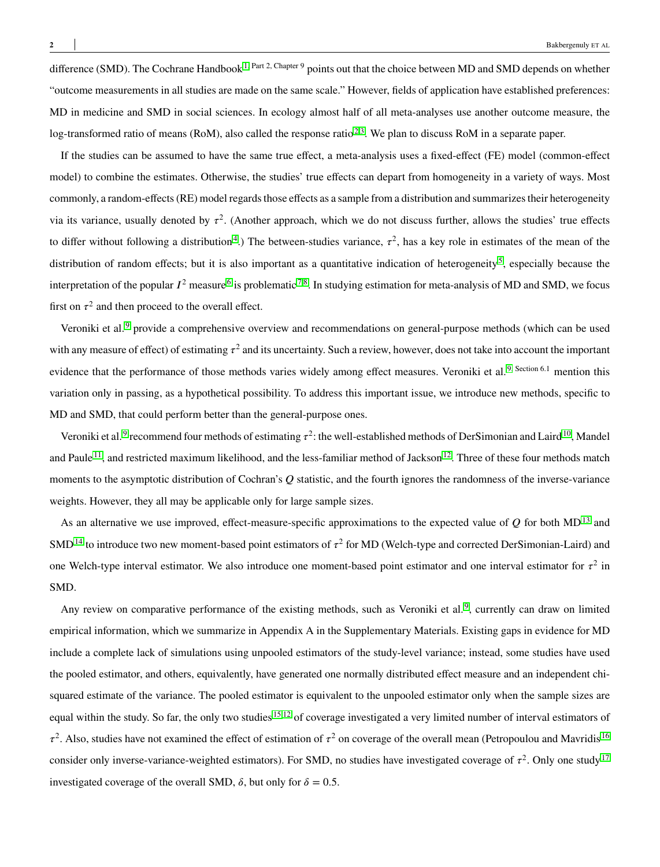difference (SMD). The Cochrane Handbook<sup>[1,](#page-25-0) Part 2, Chapter 9</sup> points out that the choice between MD and SMD depends on whether "outcome measurements in all studies are made on the same scale." However, fields of application have established preferences: MD in medicine and SMD in social sciences. In ecology almost half of all meta-analyses use another outcome measure, the log-transformed ratio of means (RoM), also called the response ratio<sup>[2](#page-25-1)[,3](#page-25-2)</sup>. We plan to discuss RoM in a separate paper.

If the studies can be assumed to have the same true effect, a meta-analysis uses a fixed-effect (FE) model (common-effect model) to combine the estimates. Otherwise, the studies' true effects can depart from homogeneity in a variety of ways. Most commonly, a random-effects (RE) model regards those effects as a sample from a distribution and summarizes their heterogeneity via its variance, usually denoted by  $\tau^2$ . (Another approach, which we do not discuss further, allows the studies' true effects to differ without following a distribution<sup>[4](#page-25-3)</sup>.) The between-studies variance,  $\tau^2$ , has a key role in estimates of the mean of the distribution of random effects; but it is also important as a quantitative indication of heterogeneity<sup>[5](#page-25-4)</sup>, especially because the interpretation of the popular  $I^2$  measure  $^6$  $^6$  is problematic  $^{7,8}$  $^{7,8}$  $^{7,8}$  $^{7,8}$ . In studying estimation for meta-analysis of MD and SMD, we focus first on  $\tau^2$  and then proceed to the overall effect.

Veroniki et al. [9](#page-25-8) provide a comprehensive overview and recommendations on general-purpose methods (which can be used with any measure of effect) of estimating  $\tau^2$  and its uncertainty. Such a review, however, does not take into account the important evidence that the performance of those methods varies widely among effect measures. Veroniki et al.<sup>[9,](#page-25-8) Section 6.1</sup> mention this variation only in passing, as a hypothetical possibility. To address this important issue, we introduce new methods, specific to MD and SMD, that could perform better than the general-purpose ones.

Veroniki et al.<sup>[9](#page-25-8)</sup> recommend four methods of estimating  $\tau^2$ : the well-established methods of DerSimonian and Laird<sup>[10](#page-25-9)</sup>, Mandel and Paule  $11$ , and restricted maximum likelihood, and the less-familiar method of Jackson<sup>[12](#page-25-11)</sup>. Three of these four methods match moments to the asymptotic distribution of Cochran's *Q* statistic, and the fourth ignores the randomness of the inverse-variance weights. However, they all may be applicable only for large sample sizes.

As an alternative we use improved, effect-measure-specific approximations to the expected value of  $Q$  for both MD<sup>[13](#page-26-0)</sup> and SMD<sup>[14](#page-26-1)</sup> to introduce two new moment-based point estimators of  $\tau^2$  for MD (Welch-type and corrected DerSimonian-Laird) and one Welch-type interval estimator. We also introduce one moment-based point estimator and one interval estimator for  $\tau^2$  in SMD.

Any review on comparative performance of the existing methods, such as Veroniki et al.<sup>[9](#page-25-8)</sup>, currently can draw on limited empirical information, which we summarize in Appendix A in the Supplementary Materials. Existing gaps in evidence for MD include a complete lack of simulations using unpooled estimators of the study-level variance; instead, some studies have used the pooled estimator, and others, equivalently, have generated one normally distributed effect measure and an independent chisquared estimate of the variance. The pooled estimator is equivalent to the unpooled estimator only when the sample sizes are equal within the study. So far, the only two studies <sup>[15](#page-26-2)[,12](#page-25-11)</sup> of coverage investigated a very limited number of interval estimators of  $\tau^2$ . Also, studies have not examined the effect of estimation of  $\tau^2$  on coverage of the overall mean (Petropoulou and Mavridis <sup>[16](#page-26-3)</sup>) consider only inverse-variance-weighted estimators). For SMD, no studies have investigated coverage of  $\tau^2$ . Only one study  $^{17}$  $^{17}$  $^{17}$ investigated coverage of the overall SMD,  $\delta$ , but only for  $\delta = 0.5$ .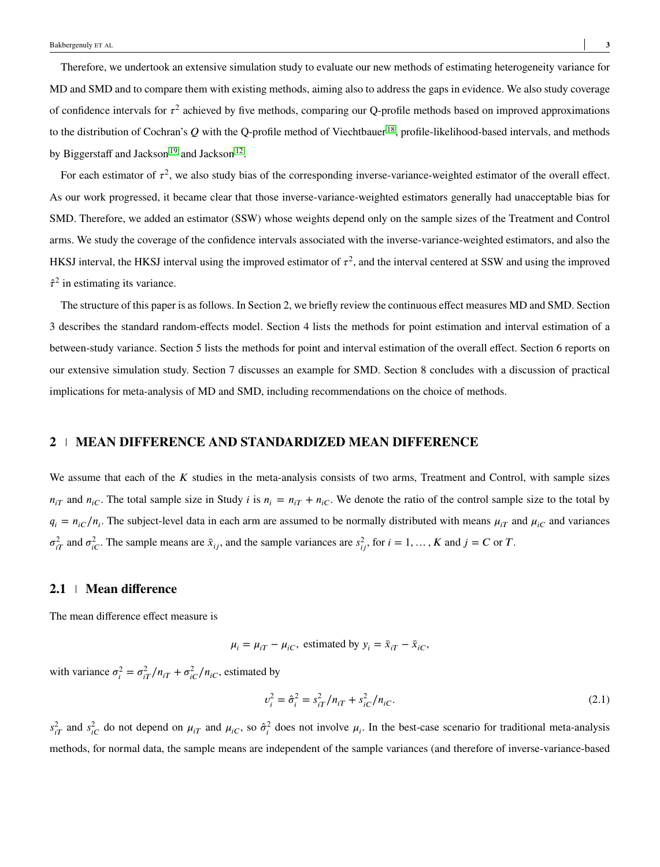Therefore, we undertook an extensive simulation study to evaluate our new methods of estimating heterogeneity variance for MD and SMD and to compare them with existing methods, aiming also to address the gaps in evidence. We also study coverage of confidence intervals for  $\tau^2$  achieved by five methods, comparing our Q-profile methods based on improved approximations to the distribution of Cochran's Q with the Q-profile method of Viechtbauer<sup>[18](#page-26-5)</sup>, profile-likelihood-based intervals, and methods by Biggerstaff and Jackson<sup>[19](#page-26-6)</sup> and Jackson<sup>[12](#page-25-11)</sup>.

For each estimator of  $\tau^2$ , we also study bias of the corresponding inverse-variance-weighted estimator of the overall effect. As our work progressed, it became clear that those inverse-variance-weighted estimators generally had unacceptable bias for SMD. Therefore, we added an estimator (SSW) whose weights depend only on the sample sizes of the Treatment and Control arms. We study the coverage of the confidence intervals associated with the inverse-variance-weighted estimators, and also the HKSJ interval, the HKSJ interval using the improved estimator of  $\tau^2$ , and the interval centered at SSW and using the improved  $\hat{\tau}^2$  in estimating its variance.

The structure of this paper is as follows. In Section 2, we briefly review the continuous effect measures MD and SMD. Section 3 describes the standard random-effects model. Section 4 lists the methods for point estimation and interval estimation of a between-study variance. Section 5 lists the methods for point and interval estimation of the overall effect. Section 6 reports on our extensive simulation study. Section 7 discusses an example for SMD. Section 8 concludes with a discussion of practical implications for meta-analysis of MD and SMD, including recommendations on the choice of methods.

## **2 MEAN DIFFERENCE AND STANDARDIZED MEAN DIFFERENCE**

We assume that each of the *K* studies in the meta-analysis consists of two arms, Treatment and Control, with sample sizes  $n_{iT}$  and  $n_{iC}$ . The total sample size in Study *i* is  $n_i = n_{iT} + n_{iC}$ . We denote the ratio of the control sample size to the total by  $q_i = n_{iC}/n_i$ . The subject-level data in each arm are assumed to be normally distributed with means  $\mu_{iT}$  and  $\mu_{iC}$  and variances  $\sigma_{iT}^2$  and  $\sigma_{iC}^2$ . The sample means are  $\bar{x}_{ij}$ , and the sample variances are  $s_{ij}^2$ , for  $i = 1, ..., K$  and  $j = C$  or *T*.

#### **2.1 Mean difference**

The mean difference effect measure is

$$
\mu_i = \mu_{iT} - \mu_{iC}
$$
, estimated by  $y_i = \bar{x}_{iT} - \bar{x}_{iC}$ ,

with variance  $\sigma_i^2 = \sigma_{iT}^2 / n_{iT} + \sigma_{iC}^2 / n_{iC}$ , estimated by

<span id="page-2-0"></span>
$$
v_i^2 = \hat{\sigma}_i^2 = s_{iT}^2 / n_{iT} + s_{iC}^2 / n_{iC}.
$$
 (2.1)

 $s_{iT}^2$  and  $s_{iC}^2$  do not depend on  $\mu_{iT}$  and  $\mu_{iC}$ , so  $\hat{\sigma}_i^2$  does not involve  $\mu_i$ . In the best-case scenario for traditional meta-analysis methods, for normal data, the sample means are independent of the sample variances (and therefore of inverse-variance-based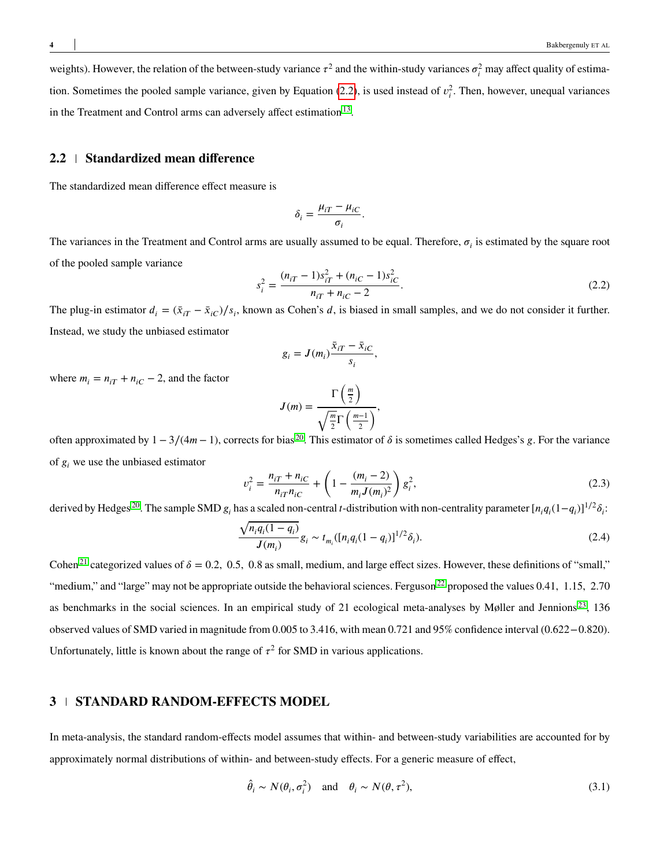weights). However, the relation of the between-study variance  $\tau^2$  and the within-study variances  $\sigma_i^2$  may affect quality of estimation. Sometimes the pooled sample variance, given by Equation  $(2.2)$ , is used instead of  $v_i^2$ . Then, however, unequal variances in the Treatment and Control arms can adversely affect estimation  $13$ .

#### **2.2 Standardized mean difference**

The standardized mean difference effect measure is

$$
\delta_i = \frac{\mu_{iT} - \mu_{iC}}{\sigma_i}.
$$

The variances in the Treatment and Control arms are usually assumed to be equal. Therefore,  $\sigma_i$  is estimated by the square root of the pooled sample variance

<span id="page-3-0"></span>
$$
s_i^2 = \frac{(n_{iT} - 1)s_{iT}^2 + (n_{iC} - 1)s_{iC}^2}{n_{iT} + n_{iC} - 2}.
$$
\n(2.2)

The plug-in estimator  $d_i = (\bar{x}_{iT} - \bar{x}_{iC})/s_i$ , known as Cohen's *d*, is biased in small samples, and we do not consider it further. Instead, we study the unbiased estimator

$$
g_i = J(m_i) \frac{\bar{x}_{iT} - \bar{x}_{iC}}{s_i},
$$

where  $m_i = n_{iT} + n_{iC} - 2$ , and the factor

<span id="page-3-2"></span>
$$
J(m) = \frac{\Gamma\left(\frac{m}{2}\right)}{\sqrt{\frac{m}{2}}\Gamma\left(\frac{m-1}{2}\right)},
$$

often approximated by  $1 - 3/(4m - 1)$ , corrects for bias <sup>[20](#page-26-7)</sup>. This estimator of  $\delta$  is sometimes called Hedges's *g*. For the variance of  $g_i$  we use the unbiased estimator

<span id="page-3-1"></span>
$$
v_i^2 = \frac{n_{iT} + n_{iC}}{n_{iT}n_{iC}} + \left(1 - \frac{(m_i - 2)}{m_i J(m_i)^2}\right) g_i^2,
$$
\n(2.3)

derived by Hedges<sup>[20](#page-26-7)</sup>. The sample SMD  $g_i$  has a scaled non-central *t*-distribution with non-centrality parameter  $[n_i q_i (1 - q_i)]^{1/2} \delta_i$ :

$$
\frac{\sqrt{n_i q_i (1 - q_i)}}{J(m_i)} g_i \sim t_{m_i} ([n_i q_i (1 - q_i)]^{1/2} \delta_i).
$$
\n(2.4)

Cohen<sup>[21](#page-26-8)</sup> categorized values of  $\delta = 0.2$ , 0.5, 0.8 as small, medium, and large effect sizes. However, these definitions of "small," "medium," and "large" may not be appropriate outside the behavioral sciences. Ferguson<sup>[22](#page-26-9)</sup> proposed the values 0.41, 1.15, 2.70 as benchmarks in the social sciences. In an empirical study of 21 ecological meta-analyses by Møller and Jennions<sup>[23](#page-26-10)</sup>, 136 observed values of SMD varied in magnitude from 0*.*005 to 3*.*416, with mean 0*.*721 and 95% confidence interval (0*.*622−0*.*820). Unfortunately, little is known about the range of  $\tau^2$  for SMD in various applications.

#### **3 STANDARD RANDOM-EFFECTS MODEL**

In meta-analysis, the standard random-effects model assumes that within- and between-study variabilities are accounted for by approximately normal distributions of within- and between-study effects. For a generic measure of effect,

$$
\hat{\theta}_i \sim N(\theta_i, \sigma_i^2) \quad \text{and} \quad \theta_i \sim N(\theta, \tau^2), \tag{3.1}
$$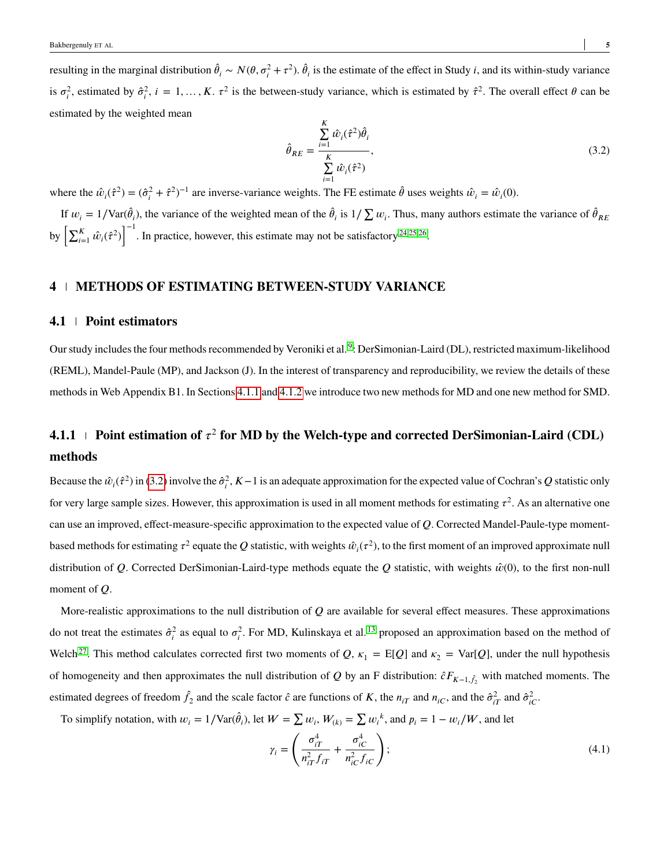resulting in the marginal distribution  $\hat{\theta}_i \sim N(\theta, \sigma_i^2 + \tau^2)$ .  $\hat{\theta}_i$  is the estimate of the effect in Study *i*, and its within-study variance is  $\sigma_i^2$ , estimated by  $\hat{\sigma}_i^2$ ,  $i = 1, ..., K$ .  $\tau^2$  is the between-study variance, which is estimated by  $\hat{\tau}^2$ . The overall effect  $\theta$  can be estimated by the weighted mean

<span id="page-4-1"></span>
$$
\hat{\theta}_{RE} = \frac{\sum_{i=1}^{K} \hat{w}_i (\hat{\tau}^2) \hat{\theta}_i}{\sum_{i=1}^{K} \hat{w}_i (\hat{\tau}^2)},
$$
\n(3.2)

where the  $\hat{w}_i(\hat{\tau}^2) = (\hat{\sigma}_i^2 + \hat{\tau}^2)^{-1}$  are inverse-variance weights. The FE estimate  $\hat{\theta}$  uses weights  $\hat{w}_i = \hat{w}_i(0)$ .

If  $w_i = 1/\text{Var}(\hat{\theta}_i)$ , the variance of the weighted mean of the  $\hat{\theta}_i$  is  $1/\sum w_i$ . Thus, many authors estimate the variance of  $\hat{\theta}_{RE}$ by  $\left[\sum_{i=1}^K \hat{w}_i(\hat{\tau}^2)\right]$ <sub>1</sub>−1 . In practice, however, this estimate may not be satisfactory  $24,25,26$  $24,25,26$  $24,25,26$ .

#### **4 METHODS OF ESTIMATING BETWEEN-STUDY VARIANCE**

#### **4.1 Point estimators**

Our study includes the four methods recommended by Veroniki et al. <sup>[9](#page-25-8)</sup>: DerSimonian-Laird (DL), restricted maximum-likelihood (REML), Mandel-Paule (MP), and Jackson (J). In the interest of transparency and reproducibility, we review the details of these methods in Web Appendix B1. In Sections [4.1.1](#page-4-0) and [4.1.2](#page-5-0) we introduce two new methods for MD and one new method for SMD.

# <span id="page-4-0"></span> $4.1.1$   $\perp$  Point estimation of  $\tau^2$  for MD by the Welch-type and corrected DerSimonian-Laird (CDL) **methods**

Because the  $\hat{w}_i(\hat{\tau}^2)$  in [\(3.2\)](#page-4-1) involve the  $\hat{\sigma}_i^2$ ,  $K-1$  is an adequate approximation for the expected value of Cochran's *Q* statistic only for very large sample sizes. However, this approximation is used in all moment methods for estimating  $\tau^2$ . As an alternative one can use an improved, effect-measure-specific approximation to the expected value of *Q*. Corrected Mandel-Paule-type momentbased methods for estimating  $\tau^2$  equate the  $Q$  statistic, with weights  $\hat{w}_i(\tau^2)$ , to the first moment of an improved approximate null distribution of *Q*. Corrected DerSimonian-Laird-type methods equate the *Q* statistic, with weights  $\hat{w}(0)$ , to the first non-null moment of *Q*.

More-realistic approximations to the null distribution of *Q* are available for several effect measures. These approximations do not treat the estimates  $\hat{\sigma}_i^2$  as equal to  $\sigma_i^2$ . For MD, Kulinskaya et al.<sup>[13](#page-26-0)</sup> proposed an approximation based on the method of Welch<sup>[27](#page-26-14)</sup>. This method calculates corrected first two moments of *Q*,  $\kappa_1 = E[Q]$  and  $\kappa_2 = Var[Q]$ , under the null hypothesis of homogeneity and then approximates the null distribution of *Q* by an F distribution:  $\hat{c}F_{K-1,\hat{f}_2}$  with matched moments. The estimated degrees of freedom  $\hat{f}_2$  and the scale factor  $\hat{c}$  are functions of *K*, the  $n_{iT}$  and  $n_{iC}$ , and the  $\hat{\sigma}_{iT}^2$  and  $\hat{\sigma}_{iC}^2$ .

To simplify notation, with  $w_i = 1/\text{Var}(\hat{\theta}_i)$ , let  $W = \sum w_i$ ,  $W_{(k)} = \sum w_i^k$ , and  $p_i = 1 - w_i/W$ , and let

$$
\gamma_i = \left(\frac{\sigma_{iT}^4}{n_{iT}^2 f_{iT}} + \frac{\sigma_{iC}^4}{n_{iC}^2 f_{iC}}\right);
$$
\n(4.1)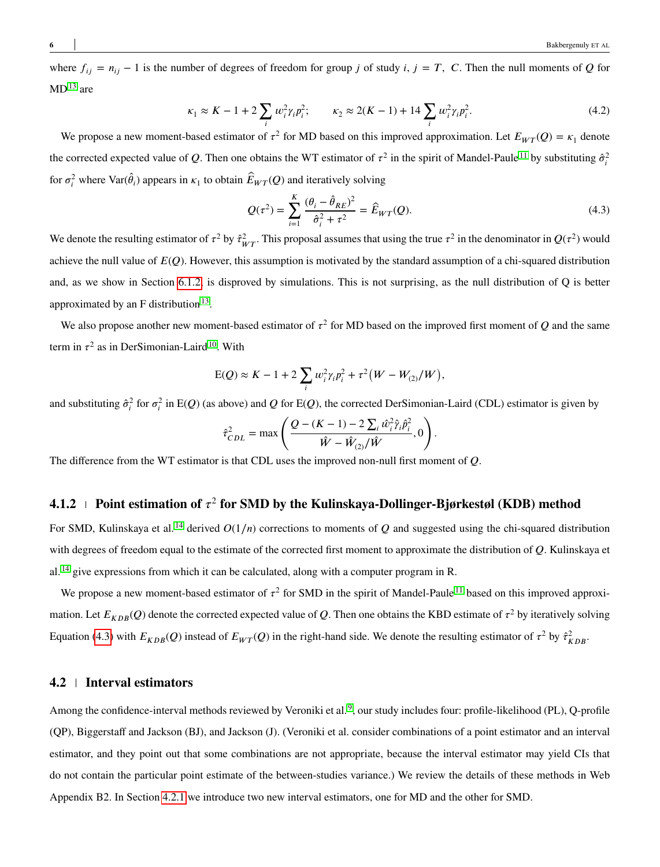where  $f_{ij} = n_{ij} - 1$  is the number of degrees of freedom for group *j* of study *i*,  $j = T$ , *C*. Then the null moments of *Q* for  $MD<sup>13</sup>$  $MD<sup>13</sup>$  $MD<sup>13</sup>$  are

$$
\kappa_1 \approx K - 1 + 2 \sum_i w_i^2 \gamma_i p_i^2; \qquad \kappa_2 \approx 2(K - 1) + 14 \sum_i w_i^2 \gamma_i p_i^2. \tag{4.2}
$$

We propose a new moment-based estimator of  $\tau^2$  for MD based on this improved approximation. Let  $E_{WT}(Q) = \kappa_1$  denote the corrected expected value of *Q*. Then one obtains the WT estimator of  $\tau^2$  in the spirit of Mandel-Paule <sup>[11](#page-25-10)</sup> by substituting  $\hat{\sigma}^2_i$ for  $\sigma_i^2$  where  $\text{Var}(\hat{\theta}_i)$  appears in  $\kappa_1$  to obtain  $\hat{E}_{WT}(Q)$  and iteratively solving

<span id="page-5-1"></span>
$$
Q(\tau^2) = \sum_{i=1}^{K} \frac{(\theta_i - \hat{\theta}_{RE})^2}{\hat{\sigma}_i^2 + \tau^2} = \hat{E}_{WT}(Q). \tag{4.3}
$$

We denote the resulting estimator of  $\tau^2$  by  $\hat{\tau}_{WT}^2$ . This proposal assumes that using the true  $\tau^2$  in the denominator in  $Q(\tau^2)$  would achieve the null value of  $E(Q)$ . However, this assumption is motivated by the standard assumption of a chi-squared distribution and, as we show in Section [6.1.2,](#page-10-0) is disproved by simulations. This is not surprising, as the null distribution of Q is better approximated by an  $F$  distribution  $^{13}$  $^{13}$  $^{13}$ .

We also propose another new moment-based estimator of  $\tau^2$  for MD based on the improved first moment of  $Q$  and the same term in  $\tau^2$  as in DerSimonian-Laird<sup>[10](#page-25-9)</sup>. With

$$
E(Q) \approx K - 1 + 2 \sum_{i} w_i^2 \gamma_i p_i^2 + \tau^2 (W - W_{(2)}/W),
$$

and substituting  $\hat{\sigma}_i^2$  for  $\sigma_i^2$  in E(*Q*) (as above) and *Q* for E(*Q*), the corrected DerSimonian-Laird (CDL) estimator is given by

$$
\hat{\tau}_{CDL}^2 = \max \left( \frac{Q - (K-1) - 2 \sum_i \hat{w}_i^2 \hat{\gamma}_i \hat{p}_i^2}{\hat{W} - \hat{W}_{(2)} / \hat{W}}, 0 \right).
$$

The difference from the WT estimator is that CDL uses the improved non-null first moment of *Q*.

# <span id="page-5-0"></span>**4.1.2 Point estimation of** *𝜏* 2 **for SMD by the Kulinskaya-Dollinger-Bjørkestøl (KDB) method**

For SMD, Kulinskaya et al.<sup>[14](#page-26-1)</sup> derived  $O(1/n)$  corrections to moments of  $Q$  and suggested using the chi-squared distribution with degrees of freedom equal to the estimate of the corrected first moment to approximate the distribution of *Q*. Kulinskaya et al. <sup>[14](#page-26-1)</sup> give expressions from which it can be calculated, along with a computer program in R.

We propose a new moment-based estimator of  $\tau^2$  for SMD in the spirit of Mandel-Paule<sup>[11](#page-25-10)</sup> based on this improved approximation. Let  $E_{KDB}(Q)$  denote the corrected expected value of  $Q$ . Then one obtains the KBD estimate of  $\tau^2$  by iteratively solving Equation [\(4.3\)](#page-5-1) with  $E_{KDB}(Q)$  instead of  $E_{WT}(Q)$  in the right-hand side. We denote the resulting estimator of  $\tau^2$  by  $\hat{\tau}^2_{KDB}$ .

#### **4.2 Interval estimators**

Among the confidence-interval methods reviewed by Veroniki et al.<sup>[9](#page-25-8)</sup>, our study includes four: profile-likelihood (PL), Q-profile (QP), Biggerstaff and Jackson (BJ), and Jackson (J). (Veroniki et al. consider combinations of a point estimator and an interval estimator, and they point out that some combinations are not appropriate, because the interval estimator may yield CIs that do not contain the particular point estimate of the between-studies variance.) We review the details of these methods in Web Appendix B2. In Section [4.2.1](#page-6-0) we introduce two new interval estimators, one for MD and the other for SMD.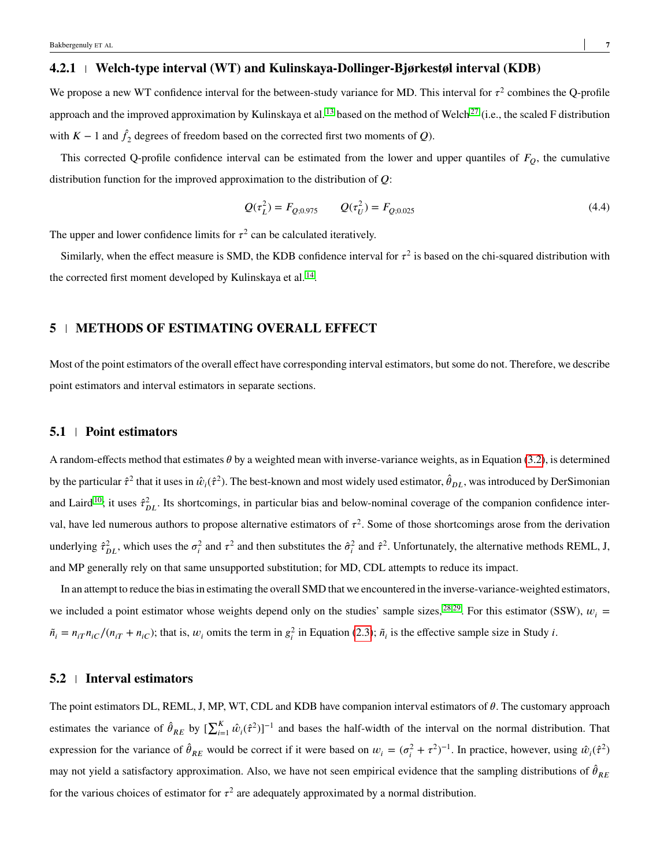## <span id="page-6-0"></span>**4.2.1 Welch-type interval (WT) and Kulinskaya-Dollinger-Bjørkestøl interval (KDB)**

We propose a new WT confidence interval for the between-study variance for MD. This interval for  $\tau^2$  combines the Q-profile approach and the improved approximation by Kulinskaya et al. <sup>[13](#page-26-0)</sup> based on the method of Welch<sup>[27](#page-26-14)</sup> (i.e., the scaled F distribution with  $K - 1$  and  $\hat{f}_2$  degrees of freedom based on the corrected first two moments of *Q*).

This corrected Q-profile confidence interval can be estimated from the lower and upper quantiles of  $F<sub>O</sub>$ , the cumulative distribution function for the improved approximation to the distribution of *O*:

$$
Q(\tau_L^2) = F_{Q,0.975} \qquad Q(\tau_U^2) = F_{Q,0.025}
$$
\n(4.4)

The upper and lower confidence limits for  $\tau^2$  can be calculated iteratively.

Similarly, when the effect measure is SMD, the KDB confidence interval for  $\tau^2$  is based on the chi-squared distribution with the corrected first moment developed by Kulinskaya et al.<sup>[14](#page-26-1)</sup>.

# **5 METHODS OF ESTIMATING OVERALL EFFECT**

Most of the point estimators of the overall effect have corresponding interval estimators, but some do not. Therefore, we describe point estimators and interval estimators in separate sections.

#### **5.1 Point estimators**

A random-effects method that estimates  $\theta$  by a weighted mean with inverse-variance weights, as in Equation [\(3.2\)](#page-4-1), is determined by the particular  $\hat{\tau}^2$  that it uses in  $\hat{w}_i(\hat{\tau}^2)$ . The best-known and most widely used estimator,  $\hat{\theta}_{DL}$ , was introduced by DerSimonian and Laird<sup>[10](#page-25-9)</sup>; it uses  $\hat{\tau}_{DL}^2$ . Its shortcomings, in particular bias and below-nominal coverage of the companion confidence interval, have led numerous authors to propose alternative estimators of  $\tau^2$ . Some of those shortcomings arose from the derivation underlying  $\hat{\tau}_{DL}^2$ , which uses the  $\sigma_i^2$  and  $\tau^2$  and then substitutes the  $\hat{\sigma}_i^2$  and  $\hat{\tau}^2$ . Unfortunately, the alternative methods REML, J, and MP generally rely on that same unsupported substitution; for MD, CDL attempts to reduce its impact.

In an attempt to reduce the bias in estimating the overall SMD that we encountered in the inverse-variance-weighted estimators, we included a point estimator whose weights depend only on the studies' sample sizes, <sup>[28,](#page-26-15)[29](#page-26-16)</sup>. For this estimator (SSW),  $w_i =$  $\tilde{n}_i = n_{iT} n_{iC}/(n_{iT} + n_{iC})$ ; that is,  $w_i$  omits the term in  $g_i^2$  in Equation [\(2.3\)](#page-3-1);  $\tilde{n}_i$  is the effective sample size in Study *i*.

#### **5.2 Interval estimators**

The point estimators DL, REML, J, MP, WT, CDL and KDB have companion interval estimators of  $\theta$ . The customary approach estimates the variance of  $\hat{\theta}_{RE}$  by  $[\sum_{i=1}^{K} \hat{w}_i(\hat{\tau}^2)]^{-1}$  and bases the half-width of the interval on the normal distribution. That expression for the variance of  $\hat{\theta}_{RE}$  would be correct if it were based on  $w_i = (\sigma_i^2 + \tau^2)^{-1}$ . In practice, however, using  $\hat{w}_i(\hat{\tau}^2)$ may not yield a satisfactory approximation. Also, we have not seen empirical evidence that the sampling distributions of  $\hat{\theta}_{RE}$ for the various choices of estimator for  $\tau^2$  are adequately approximated by a normal distribution.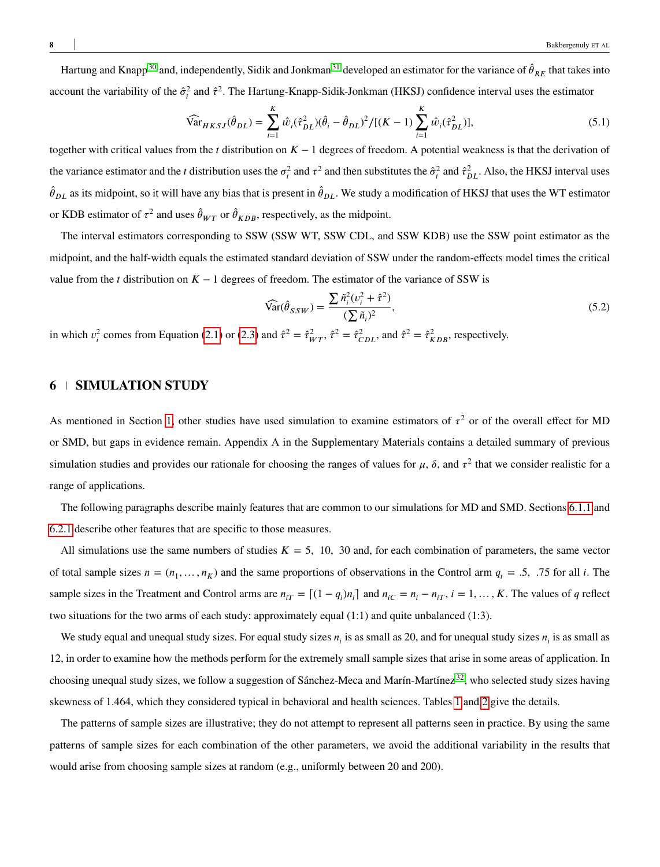Hartung and Knapp<sup>[30](#page-27-0)</sup> and, independently, Sidik and Jonkman<sup>[31](#page-27-1)</sup> developed an estimator for the variance of  $\hat{\theta}_{RE}$  that takes into account the variability of the  $\hat{\sigma}^2_i$  and  $\hat{\tau}^2$ . The Hartung-Knapp-Sidik-Jonkman (HKSJ) confidence interval uses the estimator

$$
\widehat{\text{Var}}_{HKSJ}(\hat{\theta}_{DL}) = \sum_{i=1}^{K} \hat{w}_i (\hat{\tau}_{DL}^2)(\hat{\theta}_i - \hat{\theta}_{DL})^2 / [(K-1) \sum_{i=1}^{K} \hat{w}_i (\hat{\tau}_{DL}^2)],\tag{5.1}
$$

together with critical values from the *t* distribution on  $K - 1$  degrees of freedom. A potential weakness is that the derivation of the variance estimator and the *t* distribution uses the  $\sigma_i^2$  and  $\tau^2$  and then substitutes the  $\hat{\sigma}_i^2$  and  $\hat{\tau}_{DL}^2$ . Also, the HKSJ interval uses  $\hat{\theta}_{DL}$  as its midpoint, so it will have any bias that is present in  $\hat{\theta}_{DL}$ . We study a modification of HKSJ that uses the WT estimator or KDB estimator of  $\tau^2$  and uses  $\hat{\theta}_{WT}$  or  $\hat{\theta}_{KDB}$ , respectively, as the midpoint.

The interval estimators corresponding to SSW (SSW WT, SSW CDL, and SSW KDB) use the SSW point estimator as the midpoint, and the half-width equals the estimated standard deviation of SSW under the random-effects model times the critical value from the *t* distribution on  $K - 1$  degrees of freedom. The estimator of the variance of SSW is

<span id="page-7-0"></span>
$$
\widehat{\text{Var}}(\hat{\theta}_{SSW}) = \frac{\sum \tilde{n}_i^2 (v_i^2 + \hat{\tau}^2)}{(\sum \tilde{n}_i)^2},\tag{5.2}
$$

in which  $v_i^2$  comes from Equation [\(2.1\)](#page-2-0) or [\(2.3\)](#page-3-1) and  $\hat{\tau}^2 = \hat{\tau}_{WT}^2$ ,  $\hat{\tau}^2 = \hat{\tau}_{CLD}^2$ , and  $\hat{\tau}^2 = \hat{\tau}_{KDB}^2$ , respectively.

### **6 SIMULATION STUDY**

As mentioned in Section [1,](#page-0-0) other studies have used simulation to examine estimators of  $\tau^2$  or of the overall effect for MD or SMD, but gaps in evidence remain. Appendix A in the Supplementary Materials contains a detailed summary of previous simulation studies and provides our rationale for choosing the ranges of values for  $\mu$ ,  $\delta$ , and  $\tau^2$  that we consider realistic for a range of applications.

The following paragraphs describe mainly features that are common to our simulations for MD and SMD. Sections [6.1.1](#page-8-0) and [6.2.1](#page-12-0) describe other features that are specific to those measures.

All simulations use the same numbers of studies  $K = 5$ , 10, 30 and, for each combination of parameters, the same vector of total sample sizes  $n = (n_1, \ldots, n_K)$  and the same proportions of observations in the Control arm  $q_i = .5, .75$  for all *i*. The sample sizes in the Treatment and Control arms are  $n_{iT} = [(1 - q_i)n_i]$  and  $n_{iC} = n_i - n_{iT}$ ,  $i = 1, ..., K$ . The values of q reflect two situations for the two arms of each study: approximately equal (1:1) and quite unbalanced (1:3).

We study equal and unequal study sizes. For equal study sizes  $n_i$  is as small as 20, and for unequal study sizes  $n_i$  is as small as 12, in order to examine how the methods perform for the extremely small sample sizes that arise in some areas of application. In choosing unequal study sizes, we follow a suggestion of Sánchez-Meca and Marín-Martínez [32](#page-27-2), who selected study sizes having skewness of 1.464, which they considered typical in behavioral and health sciences. Tables [1](#page-9-0) and [2](#page-9-1) give the details.

The patterns of sample sizes are illustrative; they do not attempt to represent all patterns seen in practice. By using the same patterns of sample sizes for each combination of the other parameters, we avoid the additional variability in the results that would arise from choosing sample sizes at random (e.g., uniformly between 20 and 200).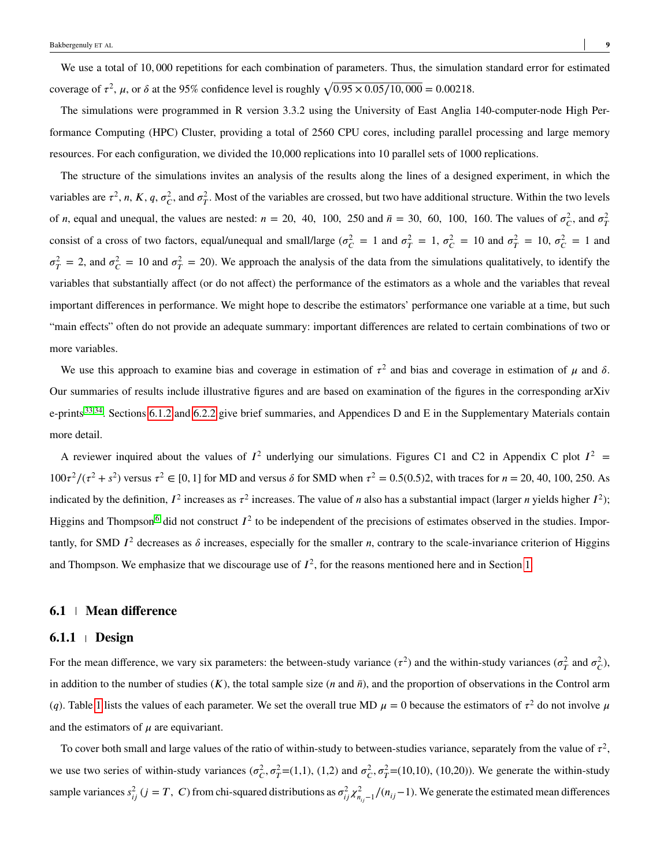We use a total of 10*,* 000 repetitions for each combination of parameters. Thus, the simulation standard error for estimated coverage of  $\tau^2$ ,  $\mu$ , or  $\delta$  at the 95% confidence level is roughly  $\sqrt{0.95 \times 0.05/10,000} = 0.00218$ .

The simulations were programmed in R version 3.3.2 using the University of East Anglia 140-computer-node High Performance Computing (HPC) Cluster, providing a total of 2560 CPU cores, including parallel processing and large memory resources. For each configuration, we divided the 10,000 replications into 10 parallel sets of 1000 replications.

The structure of the simulations invites an analysis of the results along the lines of a designed experiment, in which the variables are  $\tau^2$ , *n*, *K*, *q*,  $\sigma_C^2$ , and  $\sigma_T^2$ . Most of the variables are crossed, but two have additional structure. Within the two levels of *n*, equal and unequal, the values are nested:  $n = 20$ , 40, 100, 250 and  $\bar{n} = 30$ , 60, 100, 160. The values of  $\sigma_C^2$ , and  $\sigma_T^2$ consist of a cross of two factors, equal/unequal and small/large ( $\sigma_C^2 = 1$  and  $\sigma_T^2 = 1$ ,  $\sigma_C^2 = 10$  and  $\sigma_T^2 = 10$ ,  $\sigma_C^2 = 1$  and  $\sigma_T^2 = 2$ , and  $\sigma_C^2 = 10$  and  $\sigma_T^2 = 20$ ). We approach the analysis of the data from the simulations qualitatively, to identify the variables that substantially affect (or do not affect) the performance of the estimators as a whole and the variables that reveal important differences in performance. We might hope to describe the estimators' performance one variable at a time, but such "main effects" often do not provide an adequate summary: important differences are related to certain combinations of two or more variables.

We use this approach to examine bias and coverage in estimation of  $\tau^2$  and bias and coverage in estimation of  $\mu$  and  $\delta$ . Our summaries of results include illustrative figures and are based on examination of the figures in the corresponding arXiv e-prints  $33,34$  $33,34$ . Sections [6.1.2](#page-10-0) and [6.2.2](#page-12-1) give brief summaries, and Appendices D and E in the Supplementary Materials contain more detail.

A reviewer inquired about the values of  $I^2$  underlying our simulations. Figures C1 and C2 in Appendix C plot  $I^2$  $100\tau^2/(\tau^2 + s^2)$  versus  $\tau^2 \in [0, 1]$  for MD and versus  $\delta$  for SMD when  $\tau^2 = 0.5(0.5)$ , with traces for  $n = 20, 40, 100, 250$ . As indicated by the definition,  $I^2$  increases as  $\tau^2$  increases. The value of *n* also has a substantial impact (larger *n* yields higher  $I^2$ ); Higgins and Thompson<sup>[6](#page-25-5)</sup> did not construct  $I^2$  to be independent of the precisions of estimates observed in the studies. Importantly, for SMD  $I^2$  decreases as  $\delta$  increases, especially for the smaller *n*, contrary to the scale-invariance criterion of Higgins and Thompson. We emphasize that we discourage use of  $I^2$ , for the reasons mentioned here and in Section [1.](#page-0-0)

#### **6.1 Mean difference**

#### <span id="page-8-0"></span>**6.1.1 Design**

For the mean difference, we vary six parameters: the between-study variance  $(\tau^2)$  and the within-study variances  $(\sigma_T^2$  and  $\sigma_C^2)$ , in addition to the number of studies  $(K)$ , the total sample size  $(n \text{ and } \bar{n})$ , and the proportion of observations in the Control arm (*q*). Table [1](#page-9-0) lists the values of each parameter. We set the overall true MD  $\mu = 0$  because the estimators of  $\tau^2$  do not involve  $\mu$ and the estimators of  $\mu$  are equivariant.

To cover both small and large values of the ratio of within-study to between-studies variance, separately from the value of  $\tau^2$ , we use two series of within-study variances  $(\sigma_C^2, \sigma_T^2=(1,1), (1,2)$  and  $\sigma_C^2, \sigma_T^2=(10,10), (10,20)$ ). We generate the within-study sample variances  $s_{ij}^2$  (*j* = *T*, *C*) from chi-squared distributions as  $\sigma_{ij}^2 \chi_{n_{ij}-1}^2/(n_{ij}-1)$ . We generate the estimated mean differences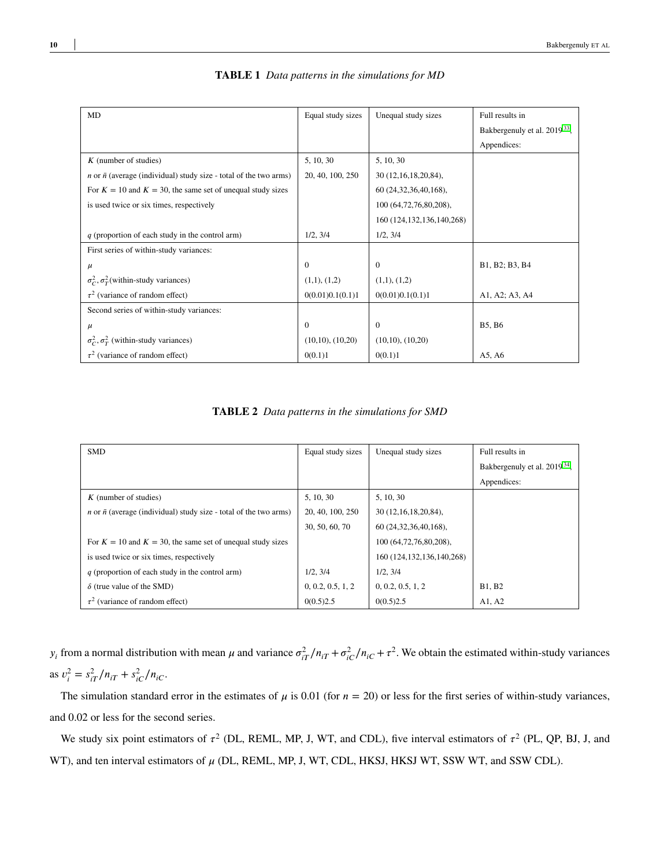<span id="page-9-0"></span>

| MD                                                                              | Equal study sizes     | Unequal study sizes           | Full results in                          |
|---------------------------------------------------------------------------------|-----------------------|-------------------------------|------------------------------------------|
|                                                                                 |                       |                               | Bakbergenuly et al. 2019 <sup>33</sup> , |
|                                                                                 |                       |                               | Appendices:                              |
| $K$ (number of studies)                                                         | 5, 10, 30             | 5, 10, 30                     |                                          |
| <i>n</i> or $\bar{n}$ (average (individual) study size - total of the two arms) | 20, 40, 100, 250      | 30 (12,16,18,20,84),          |                                          |
| For $K = 10$ and $K = 30$ , the same set of unequal study sizes                 |                       | 60 (24,32,36,40,168),         |                                          |
| is used twice or six times, respectively                                        |                       | 100 (64,72,76,80,208),        |                                          |
|                                                                                 |                       | 160 (124, 132, 136, 140, 268) |                                          |
| $q$ (proportion of each study in the control arm)                               | 1/2, 3/4              | 1/2, 3/4                      |                                          |
| First series of within-study variances:                                         |                       |                               |                                          |
| $\mu$                                                                           | $\Omega$              | $\Omega$                      | B1, B2; B3, B4                           |
| $\sigma_C^2$ , $\sigma_T^2$ (within-study variances)                            | (1,1), (1,2)          | (1,1), (1,2)                  |                                          |
| $\tau^2$ (variance of random effect)                                            | 0(0.01)0.1(0.1)1      | 0(0.01)0.1(0.1)1              | A1, A2; A3, A4                           |
| Second series of within-study variances:                                        |                       |                               |                                          |
| $\mu$                                                                           | $\Omega$              | $\Omega$                      | <b>B5, B6</b>                            |
| $\sigma_C^2$ , $\sigma_T^2$ (within-study variances)                            | $(10,10)$ , $(10,20)$ | $(10,10)$ , $(10,20)$         |                                          |
| $\tau^2$ (variance of random effect)                                            | 0(0.1)1               | 0(0.1)1                       | A5, A6                                   |

#### **TABLE 1** *Data patterns in the simulations for MD*

**TABLE 2** *Data patterns in the simulations for SMD*

<span id="page-9-1"></span>

| <b>SMD</b>                                                                      | Equal study sizes | Unequal study sizes           | Full results in                          |  |
|---------------------------------------------------------------------------------|-------------------|-------------------------------|------------------------------------------|--|
|                                                                                 |                   |                               | Bakbergenuly et al. 2019 <sup>34</sup> , |  |
|                                                                                 |                   |                               | Appendices:                              |  |
| $K$ (number of studies)                                                         | 5, 10, 30         | 5, 10, 30                     |                                          |  |
| <i>n</i> or $\bar{n}$ (average (individual) study size - total of the two arms) | 20, 40, 100, 250  | 30 (12,16,18,20,84),          |                                          |  |
|                                                                                 | 30, 50, 60, 70    | 60 (24, 32, 36, 40, 168),     |                                          |  |
| For $K = 10$ and $K = 30$ , the same set of unequal study sizes                 |                   | 100 (64,72,76,80,208),        |                                          |  |
| is used twice or six times, respectively                                        |                   | 160 (124, 132, 136, 140, 268) |                                          |  |
| $q$ (proportion of each study in the control arm)                               | 1/2, 3/4          | 1/2, 3/4                      |                                          |  |
| $\delta$ (true value of the SMD)                                                | 0, 0.2, 0.5, 1, 2 | 0, 0.2, 0.5, 1, 2             | <b>B1, B2</b>                            |  |
| $\tau^2$ (variance of random effect)                                            | 0(0.5)2.5         | 0(0.5)2.5                     | A1, A2                                   |  |

 $y_i$  from a normal distribution with mean  $\mu$  and variance  $\sigma_{iT}^2/n_{iT} + \sigma_{iC}^2/n_{iC} + \tau^2$ . We obtain the estimated within-study variances  $\frac{ds}{dt}v_i^2 = s_{iT}^2/n_{iT} + s_{iC}^2/n_{iC}$ .

The simulation standard error in the estimates of  $\mu$  is 0.01 (for  $n = 20$ ) or less for the first series of within-study variances, and 0*.*02 or less for the second series.

We study six point estimators of  $\tau^2$  (DL, REML, MP, J, WT, and CDL), five interval estimators of  $\tau^2$  (PL, QP, BJ, J, and WT), and ten interval estimators of  $\mu$  (DL, REML, MP, J, WT, CDL, HKSJ, HKSJ WT, SSW WT, and SSW CDL).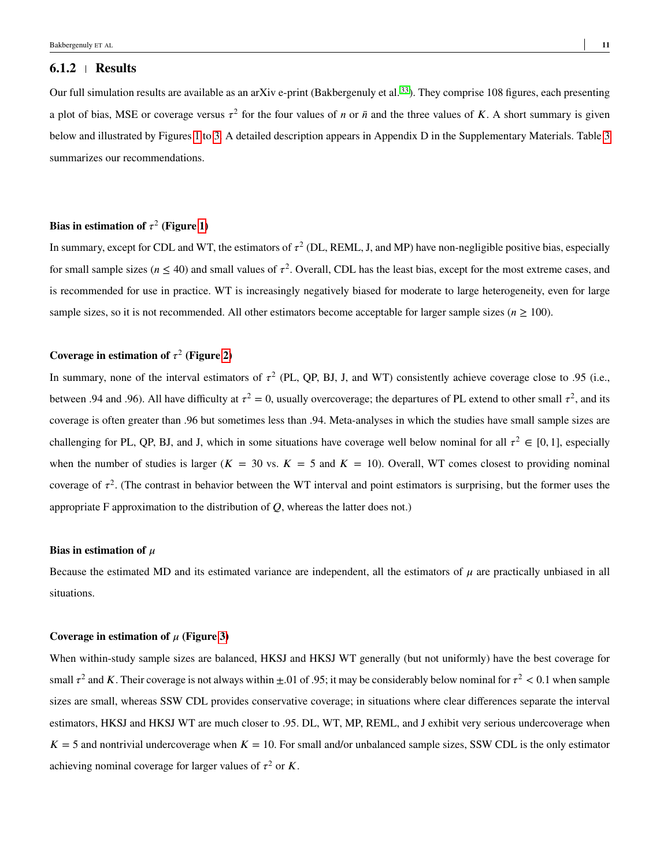#### <span id="page-10-0"></span>**6.1.2 Results**

Our full simulation results are available as an arXiv e-print (Bakbergenuly et al.  $^{33}$  $^{33}$  $^{33}$ ). They comprise 108 figures, each presenting a plot of bias, MSE or coverage versus  $\tau^2$  for the four values of *n* or  $\bar{n}$  and the three values of *K*. A short summary is given below and illustrated by Figures [1](#page-11-0) to [3.](#page-17-0) A detailed description appears in Appendix D in the Supplementary Materials. Table [3](#page-13-0) summarizes our recommendations.

#### **Bias in estimation of**  $\tau^2$  (Figure [1\)](#page-11-0)

In summary, except for CDL and WT, the estimators of  $\tau^2$  (DL, REML, J, and MP) have non-negligible positive bias, especially for small sample sizes ( $n \leq 40$ ) and small values of  $\tau^2$ . Overall, CDL has the least bias, except for the most extreme cases, and is recommended for use in practice. WT is increasingly negatively biased for moderate to large heterogeneity, even for large sample sizes, so it is not recommended. All other estimators become acceptable for larger sample sizes ( $n \geq 100$ ).

#### Coverage in estimation of  $\tau^2$  (Figure [2\)](#page-16-0)

In summary, none of the interval estimators of  $\tau^2$  (PL, QP, BJ, J, and WT) consistently achieve coverage close to .95 (i.e., between .94 and .96). All have difficulty at  $\tau^2 = 0$ , usually overcoverage; the departures of PL extend to other small  $\tau^2$ , and its coverage is often greater than .96 but sometimes less than .94. Meta-analyses in which the studies have small sample sizes are challenging for PL, QP, BJ, and J, which in some situations have coverage well below nominal for all  $\tau^2 \in [0,1]$ , especially when the number of studies is larger ( $K = 30$  vs.  $K = 5$  and  $K = 10$ ). Overall, WT comes closest to providing nominal coverage of  $\tau^2$ . (The contrast in behavior between the WT interval and point estimators is surprising, but the former uses the appropriate F approximation to the distribution of  $Q$ , whereas the latter does not.)

#### **Bias in estimation of**  $\mu$

Because the estimated MD and its estimated variance are independent, all the estimators of  $\mu$  are practically unbiased in all situations.

#### **Coverage in estimation of**  $\mu$  (Figure [3\)](#page-17-0)

When within-study sample sizes are balanced, HKSJ and HKSJ WT generally (but not uniformly) have the best coverage for small  $\tau^2$  and *K*. Their coverage is not always within  $\pm 0.01$  of 0.95; it may be considerably below nominal for  $\tau^2 < 0.1$  when sample sizes are small, whereas SSW CDL provides conservative coverage; in situations where clear differences separate the interval estimators, HKSJ and HKSJ WT are much closer to .95. DL, WT, MP, REML, and J exhibit very serious undercoverage when  $K = 5$  and nontrivial undercoverage when  $K = 10$ . For small and/or unbalanced sample sizes, SSW CDL is the only estimator achieving nominal coverage for larger values of  $\tau^2$  or *K*.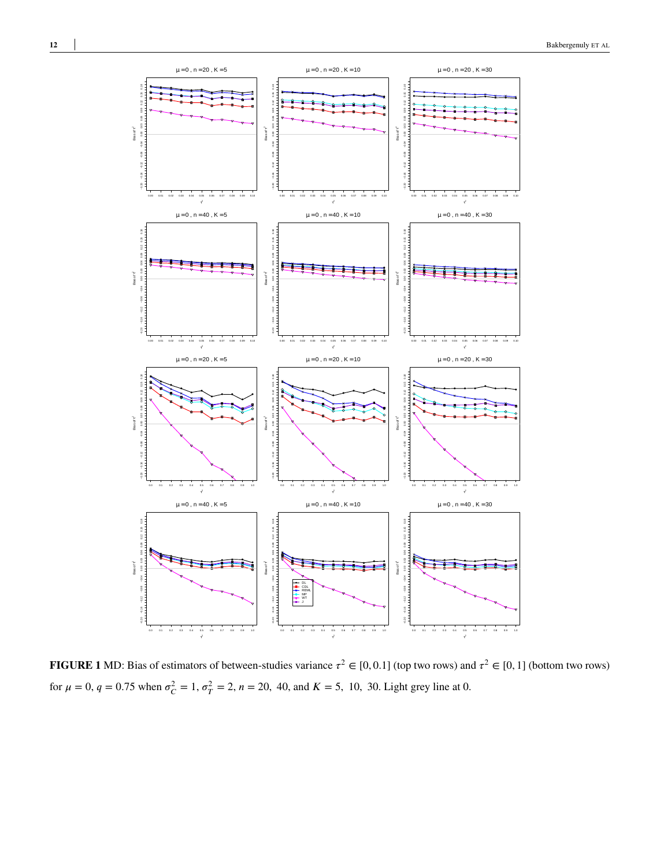<span id="page-11-0"></span>

**FIGURE 1** MD: Bias of estimators of between-studies variance  $\tau^2 \in [0,0.1]$  (top two rows) and  $\tau^2 \in [0,1]$  (bottom two rows) for  $\mu = 0$ ,  $q = 0.75$  when  $\sigma_C^2 = 1$ ,  $\sigma_T^2 = 2$ ,  $n = 20$ , 40, and  $K = 5$ , 10, 30. Light grey line at 0.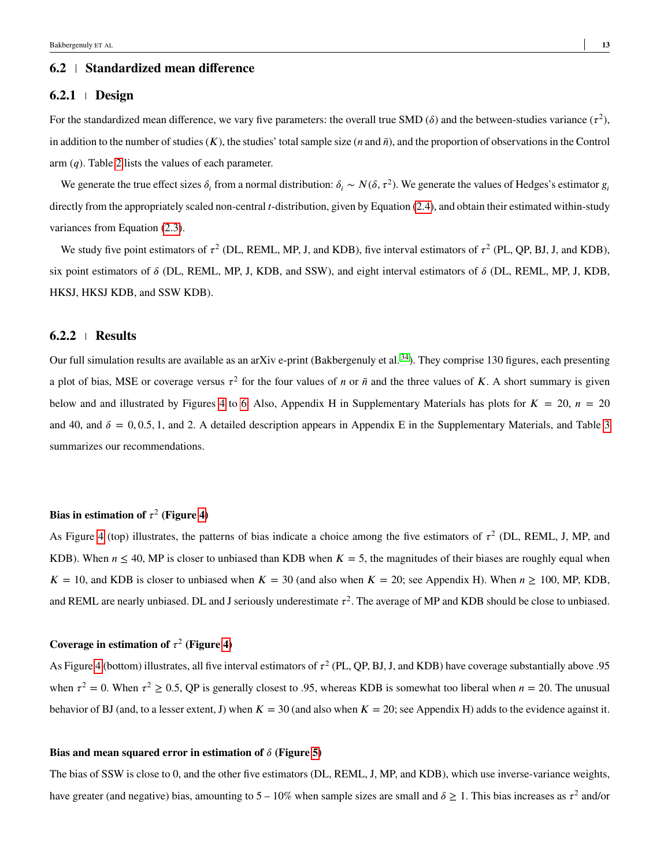#### **6.2 Standardized mean difference**

#### <span id="page-12-0"></span>**6.2.1 Design**

For the standardized mean difference, we vary five parameters: the overall true SMD  $(\delta)$  and the between-studies variance  $(\tau^2)$ , in addition to the number of studies  $(K)$ , the studies' total sample size  $(n \text{ and } \bar{n})$ , and the proportion of observations in the Control arm (*q*). Table [2](#page-9-1) lists the values of each parameter.

We generate the true effect sizes  $\delta_i$  from a normal distribution:  $\delta_i \sim N(\delta, \tau^2)$ . We generate the values of Hedges's estimator  $g_i$ directly from the appropriately scaled non-central *t*-distribution, given by Equation [\(2.4\)](#page-3-2), and obtain their estimated within-study variances from Equation [\(2.3\)](#page-3-1).

We study five point estimators of  $\tau^2$  (DL, REML, MP, J, and KDB), five interval estimators of  $\tau^2$  (PL, QP, BJ, J, and KDB), six point estimators of *𝛿* (DL, REML, MP, J, KDB, and SSW), and eight interval estimators of *𝛿* (DL, REML, MP, J, KDB, HKSJ, HKSJ KDB, and SSW KDB).

#### <span id="page-12-1"></span>**6.2.2 Results**

Our full simulation results are available as an arXiv e-print (Bakbergenuly et al.  $^{34}$  $^{34}$  $^{34}$ ). They comprise 130 figures, each presenting a plot of bias, MSE or coverage versus  $\tau^2$  for the four values of *n* or  $\bar{n}$  and the three values of *K*. A short summary is given below and and illustrated by Figures [4](#page-18-0) to [6.](#page-20-0) Also, Appendix H in Supplementary Materials has plots for  $K = 20$ ,  $n = 20$ and 40, and  $\delta = 0.0.5, 1$ , and 2. A detailed description appears in Appendix E in the Supplementary Materials, and Table [3](#page-13-0) summarizes our recommendations.

#### **Bias in estimation of**  $\tau^2$  (Figure [4\)](#page-18-0)

As Figure [4](#page-18-0) (top) illustrates, the patterns of bias indicate a choice among the five estimators of  $\tau^2$  (DL, REML, J, MP, and KDB). When  $n \leq 40$ , MP is closer to unbiased than KDB when  $K = 5$ , the magnitudes of their biases are roughly equal when  $K = 10$ , and KDB is closer to unbiased when  $K = 30$  (and also when  $K = 20$ ; see Appendix H). When  $n \ge 100$ , MP, KDB, and REML are nearly unbiased. DL and J seriously underestimate  $\tau^2$ . The average of MP and KDB should be close to unbiased.

#### Coverage in estimation of  $\tau^2$  (Figure [4\)](#page-18-0)

As Figure [4](#page-18-0) (bottom) illustrates, all five interval estimators of  $\tau^2$  (PL, QP, BJ, J, and KDB) have coverage substantially above .95 when  $\tau^2 = 0$ . When  $\tau^2 \ge 0.5$ , QP is generally closest to .95, whereas KDB is somewhat too liberal when  $n = 20$ . The unusual behavior of BJ (and, to a lesser extent, J) when  $K = 30$  (and also when  $K = 20$ ; see Appendix H) adds to the evidence against it.

#### **Bias and mean squared error in estimation of**  $\delta$  (Figure [5\)](#page-19-0)

The bias of SSW is close to 0, and the other five estimators (DL, REML, J, MP, and KDB), which use inverse-variance weights, have greater (and negative) bias, amounting to  $5-10\%$  when sample sizes are small and  $\delta \ge 1$ . This bias increases as  $\tau^2$  and/or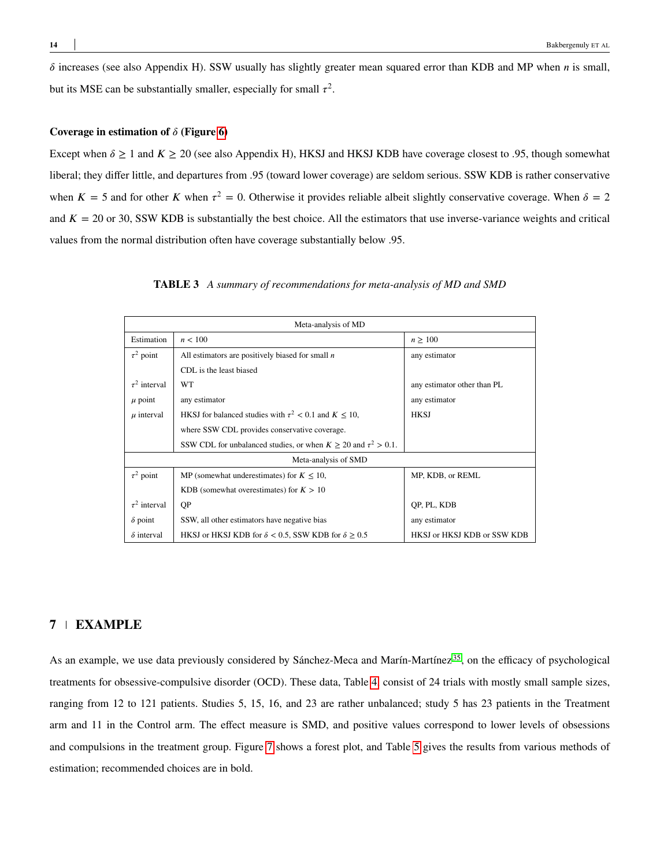$\delta$  increases (see also Appendix H). SSW usually has slightly greater mean squared error than KDB and MP when *n* is small, but its MSE can be substantially smaller, especially for small  $\tau^2$ .

#### **Coverage in estimation of**  $\delta$  (Figure [6\)](#page-20-0)

Except when  $\delta \ge 1$  and  $K \ge 20$  (see also Appendix H), HKSJ and HKSJ KDB have coverage closest to .95, though somewhat liberal; they differ little, and departures from .95 (toward lower coverage) are seldom serious. SSW KDB is rather conservative when  $K = 5$  and for other K when  $\tau^2 = 0$ . Otherwise it provides reliable albeit slightly conservative coverage. When  $\delta = 2$ and  $K = 20$  or 30, SSW KDB is substantially the best choice. All the estimators that use inverse-variance weights and critical values from the normal distribution often have coverage substantially below .95.

<span id="page-13-0"></span>

|                      | Meta-analysis of MD                                                     |                             |  |  |  |  |  |  |
|----------------------|-------------------------------------------------------------------------|-----------------------------|--|--|--|--|--|--|
| Estimation           | n < 100                                                                 | $n \geq 100$                |  |  |  |  |  |  |
| $\tau^2$ point       | All estimators are positively biased for small $n$                      | any estimator               |  |  |  |  |  |  |
|                      | CDL is the least biased                                                 |                             |  |  |  |  |  |  |
| $\tau^2$ interval    | WT                                                                      | any estimator other than PL |  |  |  |  |  |  |
| $\mu$ point          | any estimator                                                           | any estimator               |  |  |  |  |  |  |
| $\mu$ interval       | HKSJ for balanced studies with $\tau^2$ < 0.1 and $K \le 10$ ,          | <b>HKSJ</b>                 |  |  |  |  |  |  |
|                      | where SSW CDL provides conservative coverage.                           |                             |  |  |  |  |  |  |
|                      | SSW CDL for unbalanced studies, or when $K \ge 20$ and $\tau^2 > 0.1$ . |                             |  |  |  |  |  |  |
| Meta-analysis of SMD |                                                                         |                             |  |  |  |  |  |  |
| $\tau^2$ point       | MP (somewhat underestimates) for $K \leq 10$ ,                          | MP, KDB, or REML            |  |  |  |  |  |  |
|                      | KDB (somewhat overestimates) for $K > 10$                               |                             |  |  |  |  |  |  |
| $\tau^2$ interval    | QP                                                                      | QP, PL, KDB                 |  |  |  |  |  |  |
| $\delta$ point       | SSW, all other estimators have negative bias                            | any estimator               |  |  |  |  |  |  |
| $\delta$ interval    | HKSJ or HKSJ KDB for $\delta$ < 0.5, SSW KDB for $\delta \geq 0.5$      | HKSJ or HKSJ KDB or SSW KDB |  |  |  |  |  |  |

**TABLE 3** *A summary of recommendations for meta-analysis of MD and SMD*

# <span id="page-13-1"></span>**7 EXAMPLE**

As an example, we use data previously considered by Sánchez-Meca and Marín-Martínez<sup>[35](#page-27-5)</sup>, on the efficacy of psychological treatments for obsessive-compulsive disorder (OCD). These data, Table [4,](#page-14-0) consist of 24 trials with mostly small sample sizes, ranging from 12 to 121 patients. Studies 5, 15, 16, and 23 are rather unbalanced; study 5 has 23 patients in the Treatment arm and 11 in the Control arm. The effect measure is SMD, and positive values correspond to lower levels of obsessions and compulsions in the treatment group. Figure [7](#page-21-0) shows a forest plot, and Table [5](#page-15-0) gives the results from various methods of estimation; recommended choices are in bold.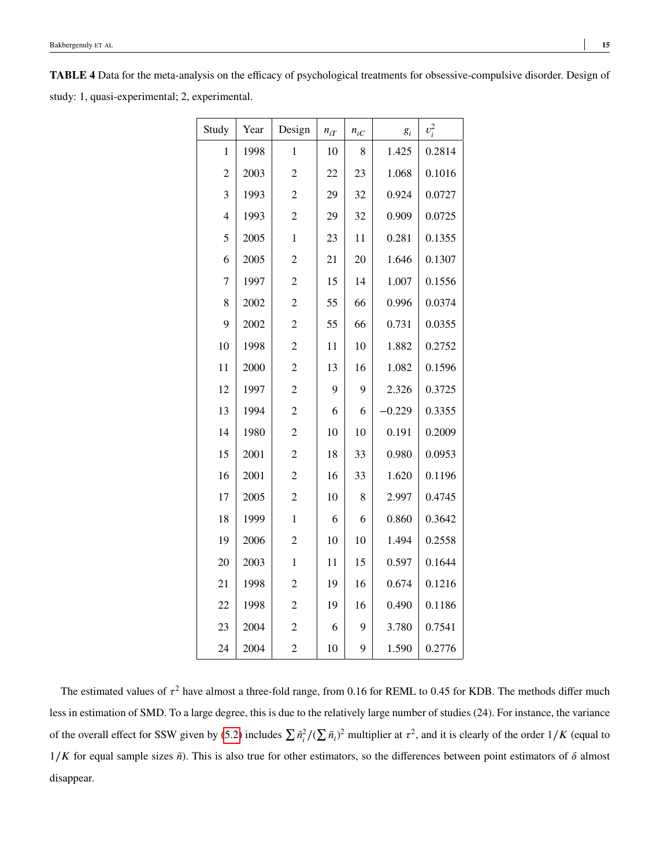<span id="page-14-0"></span>**TABLE 4** Data for the meta-analysis on the efficacy of psychological treatments for obsessive-compulsive disorder. Design of study: 1, quasi-experimental; 2, experimental.

| Study          | Year | Design         | $n_{iT}$ | $n_{iC}$ | $g_i$    | $v_i^2$ |
|----------------|------|----------------|----------|----------|----------|---------|
| $\mathbf{1}$   | 1998 | $\mathbf{1}$   | 10       | 8        | 1.425    | 0.2814  |
| $\overline{c}$ | 2003 | $\overline{c}$ | 22       | 23       | 1.068    | 0.1016  |
| $\overline{3}$ | 1993 | $\overline{c}$ | 29       | 32       | 0.924    | 0.0727  |
| $\overline{4}$ | 1993 | $\overline{c}$ | 29       | 32       | 0.909    | 0.0725  |
| 5              | 2005 | $\mathbf{1}$   | 23       | 11       | 0.281    | 0.1355  |
| 6              | 2005 | $\overline{c}$ | 21       | 20       | 1.646    | 0.1307  |
| $\overline{7}$ | 1997 | $\overline{c}$ | 15       | 14       | 1.007    | 0.1556  |
| 8              | 2002 | $\overline{c}$ | 55       | 66       | 0.996    | 0.0374  |
| 9              | 2002 | $\overline{c}$ | 55       | 66       | 0.731    | 0.0355  |
| 10             | 1998 | $\overline{c}$ | 11       | 10       | 1.882    | 0.2752  |
| 11             | 2000 | $\overline{c}$ | 13       | 16       | 1.082    | 0.1596  |
| 12             | 1997 | $\overline{c}$ | 9        | 9        | 2.326    | 0.3725  |
| 13             | 1994 | $\overline{c}$ | 6        | 6        | $-0.229$ | 0.3355  |
| 14             | 1980 | $\overline{c}$ | 10       | 10       | 0.191    | 0.2009  |
| 15             | 2001 | $\overline{c}$ | 18       | 33       | 0.980    | 0.0953  |
| 16             | 2001 | $\overline{c}$ | 16       | 33       | 1.620    | 0.1196  |
| 17             | 2005 | $\overline{c}$ | 10       | 8        | 2.997    | 0.4745  |
| 18             | 1999 | $\mathbf{1}$   | 6        | 6        | 0.860    | 0.3642  |
| 19             | 2006 | $\overline{c}$ | 10       | 10       | 1.494    | 0.2558  |
| 20             | 2003 | $\mathbf 1$    | 11       | 15       | 0.597    | 0.1644  |
| 21             | 1998 | $\overline{c}$ | 19       | 16       | 0.674    | 0.1216  |
| 22             | 1998 | $\overline{2}$ | 19       | 16       | 0.490    | 0.1186  |
| 23             | 2004 | $\overline{c}$ | 6        | 9        | 3.780    | 0.7541  |
| 24             | 2004 | 2              | 10       | 9        | 1.590    | 0.2776  |

The estimated values of  $\tau^2$  have almost a three-fold range, from 0.16 for REML to 0.45 for KDB. The methods differ much less in estimation of SMD. To a large degree, this is due to the relatively large number of studies (24). For instance, the variance of the overall effect for SSW given by [\(5.2\)](#page-7-0) includes  $\sum \tilde{n}_i^2/(\sum \tilde{n}_i)^2$  multiplier at  $\tau^2$ , and it is clearly of the order  $1/K$  (equal to 1/*K* for equal sample sizes  $\tilde{n}$ ). This is also true for other estimators, so the differences between point estimators of *δ* almost disappear.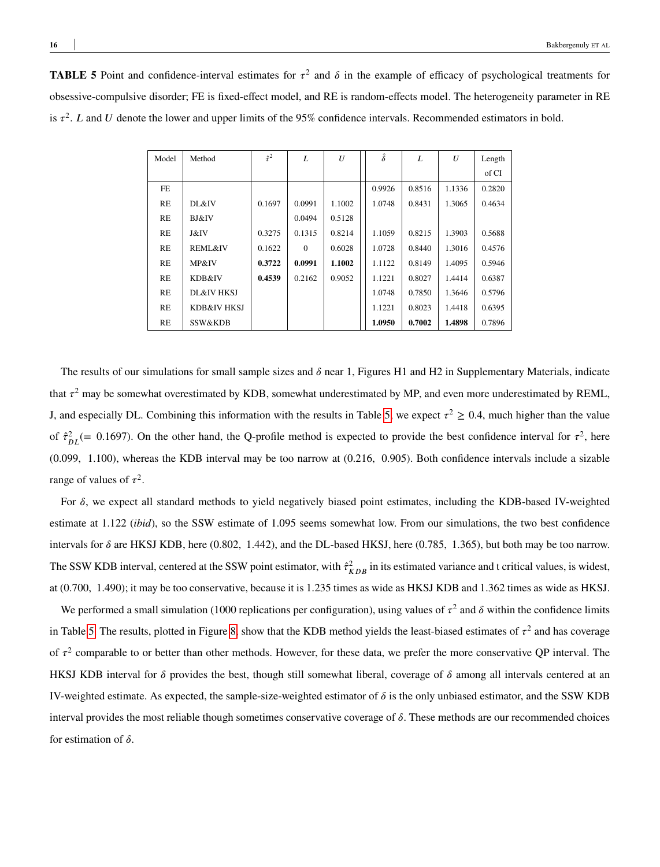<span id="page-15-0"></span>**TABLE 5** Point and confidence-interval estimates for  $\tau^2$  and  $\delta$  in the example of efficacy of psychological treatments for obsessive-compulsive disorder; FE is fixed-effect model, and RE is random-effects model. The heterogeneity parameter in RE is  $\tau^2$ . *L* and *U* denote the lower and upper limits of the 95% confidence intervals. Recommended estimators in bold.

| Model     | Method             | $\hat{\tau}^2$ | L        | U      | $\hat{\delta}$ | L      | U      | Length |
|-----------|--------------------|----------------|----------|--------|----------------|--------|--------|--------|
|           |                    |                |          |        |                |        |        | of CI  |
| <b>FE</b> |                    |                |          |        | 0.9926         | 0.8516 | 1.1336 | 0.2820 |
| RE        | DL&IV              | 0.1697         | 0.0991   | 1.1002 | 1.0748         | 0.8431 | 1.3065 | 0.4634 |
| RE        | <b>BJ&amp;IV</b>   |                | 0.0494   | 0.5128 |                |        |        |        |
| RE        | J&IV               | 0.3275         | 0.1315   | 0.8214 | 1.1059         | 0.8215 | 1.3903 | 0.5688 |
| RE        | <b>REML&amp;IV</b> | 0.1622         | $\Omega$ | 0.6028 | 1.0728         | 0.8440 | 1.3016 | 0.4576 |
| RE        | MP&IV              | 0.3722         | 0.0991   | 1.1002 | 1.1122         | 0.8149 | 1.4095 | 0.5946 |
| RE        | KDB&IV             | 0.4539         | 0.2162   | 0.9052 | 1.1221         | 0.8027 | 1.4414 | 0.6387 |
| RE        | DL&IV HKSJ         |                |          |        | 1.0748         | 0.7850 | 1.3646 | 0.5796 |
| <b>RE</b> | KDB&IV HKSJ        |                |          |        | 1.1221         | 0.8023 | 1.4418 | 0.6395 |
| RE        | SSW&KDB            |                |          |        | 1.0950         | 0.7002 | 1.4898 | 0.7896 |

The results of our simulations for small sample sizes and  $\delta$  near 1, Figures H1 and H2 in Supplementary Materials, indicate that  $\tau^2$  may be somewhat overestimated by KDB, somewhat underestimated by MP, and even more underestimated by REML, J, and especially DL. Combining this information with the results in Table [5,](#page-15-0) we expect  $\tau^2 \ge 0.4$ , much higher than the value of  $\hat{\tau}_{DL}^2$  (= 0.1697). On the other hand, the Q-profile method is expected to provide the best confidence interval for  $\tau^2$ , here (0*.*099*,* 1*.*100), whereas the KDB interval may be too narrow at (0*.*216*,* 0*.*905). Both confidence intervals include a sizable range of values of  $\tau^2$ .

For  $\delta$ , we expect all standard methods to yield negatively biased point estimates, including the KDB-based IV-weighted estimate at 1*.*122 (*ibid*), so the SSW estimate of 1*.*095 seems somewhat low. From our simulations, the two best confidence intervals for  $\delta$  are HKSJ KDB, here (0.802, 1.442), and the DL-based HKSJ, here (0.785, 1.365), but both may be too narrow. The SSW KDB interval, centered at the SSW point estimator, with  $\hat{\tau}_{KDB}^2$  in its estimated variance and t critical values, is widest, at (0*.*700*,* 1*.*490); it may be too conservative, because it is 1*.*235 times as wide as HKSJ KDB and 1*.*362 times as wide as HKSJ.

We performed a small simulation (1000 replications per configuration), using values of  $\tau^2$  and  $\delta$  within the confidence limits in Table [5.](#page-15-0) The results, plotted in Figure [8,](#page-22-0) show that the KDB method yields the least-biased estimates of  $\tau^2$  and has coverage of  $\tau^2$  comparable to or better than other methods. However, for these data, we prefer the more conservative QP interval. The HKSJ KDB interval for  $\delta$  provides the best, though still somewhat liberal, coverage of  $\delta$  among all intervals centered at an IV-weighted estimate. As expected, the sample-size-weighted estimator of  $\delta$  is the only unbiased estimator, and the SSW KDB interval provides the most reliable though sometimes conservative coverage of  $\delta$ . These methods are our recommended choices for estimation of  $\delta$ .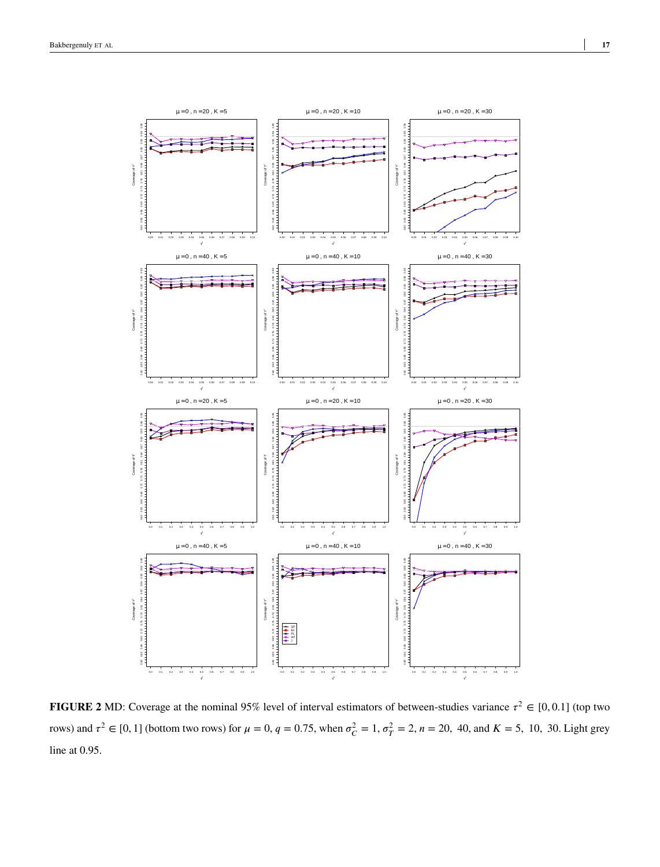<span id="page-16-0"></span>

**FIGURE 2** MD: Coverage at the nominal 95% level of interval estimators of between-studies variance  $\tau^2 \in [0,0.1]$  (top two rows) and  $\tau^2 \in [0, 1]$  (bottom two rows) for  $\mu = 0$ ,  $q = 0.75$ , when  $\sigma_C^2 = 1$ ,  $\sigma_T^2 = 2$ ,  $n = 20$ , 40, and  $K = 5$ , 10, 30. Light grey line at 0.95.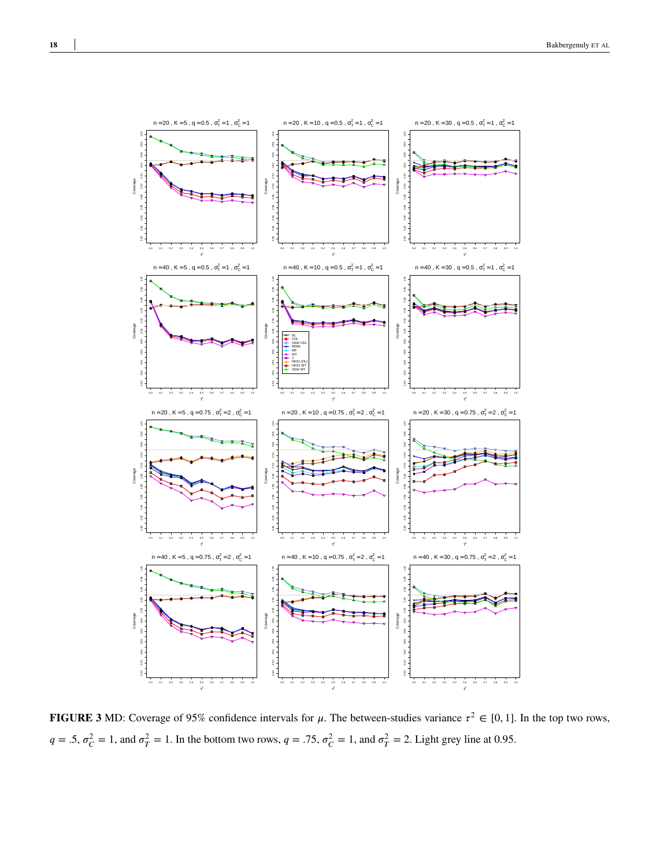<span id="page-17-0"></span>

**FIGURE 3** MD: Coverage of 95% confidence intervals for  $\mu$ . The between-studies variance  $\tau^2 \in [0, 1]$ . In the top two rows,  $q = .5$ ,  $\sigma_C^2 = 1$ , and  $\sigma_T^2 = 1$ . In the bottom two rows,  $q = .75$ ,  $\sigma_C^2 = 1$ , and  $\sigma_T^2 = 2$ . Light grey line at 0.95.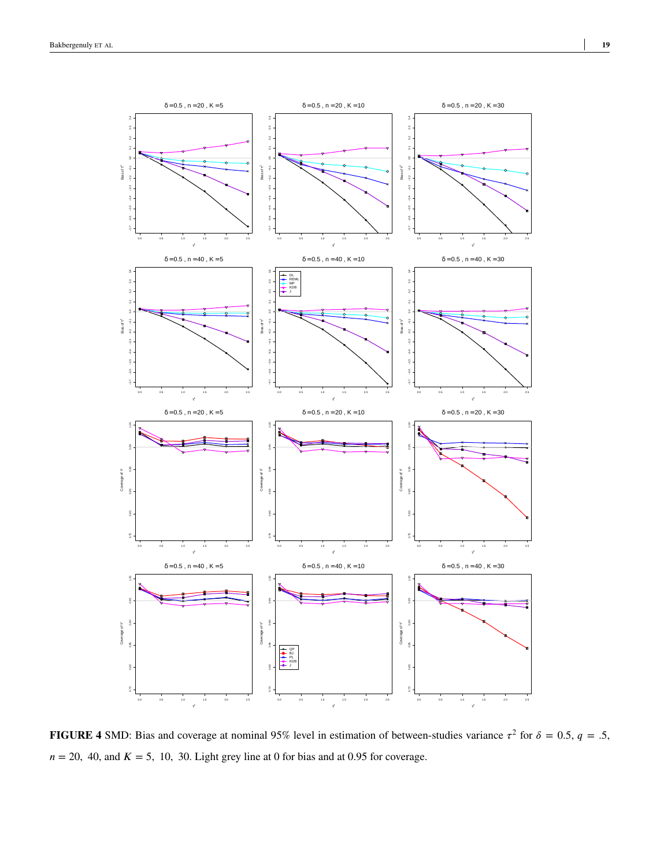<span id="page-18-0"></span>

**FIGURE 4** SMD: Bias and coverage at nominal 95% level in estimation of between-studies variance  $\tau^2$  for  $\delta = 0.5$ ,  $q = .5$ ,  $n = 20$ , 40, and  $K = 5$ , 10, 30. Light grey line at 0 for bias and at 0.95 for coverage.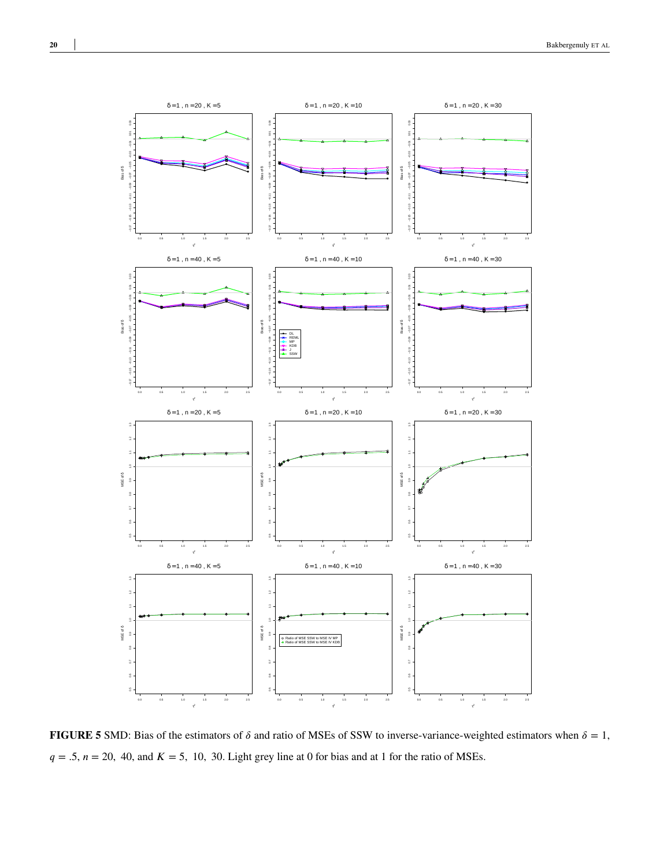

**FIGURE 5** SMD: Bias of the estimators of  $\delta$  and ratio of MSEs of SSW to inverse-variance-weighted estimators when  $\delta = 1$ ,  $q = .5$ ,  $n = 20$ , 40, and  $K = 5$ , 10, 30. Light grey line at 0 for bias and at 1 for the ratio of MSEs.

<span id="page-19-0"></span>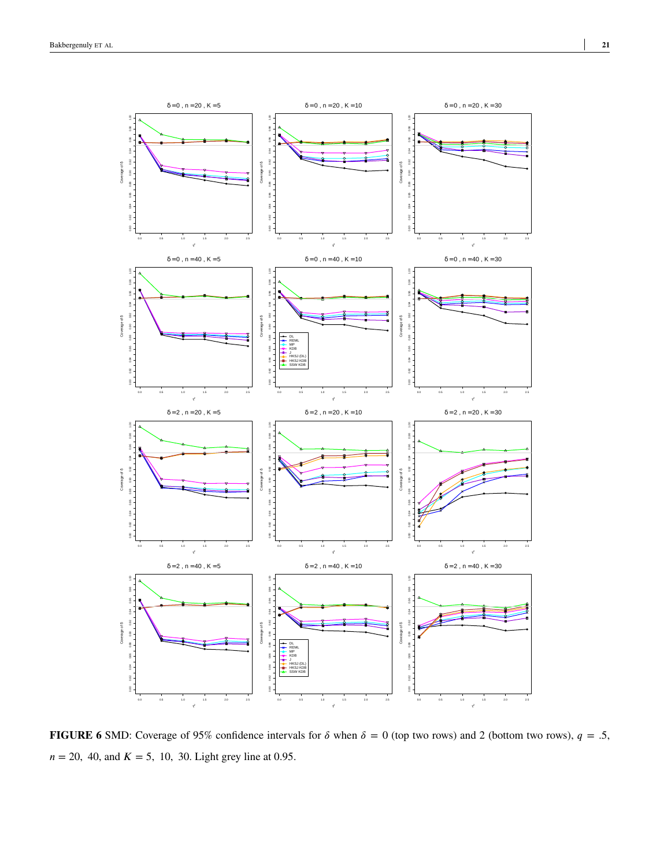<span id="page-20-0"></span>

**FIGURE 6** SMD: Coverage of 95% confidence intervals for  $\delta$  when  $\delta = 0$  (top two rows) and 2 (bottom two rows),  $q = .5$ ,  $n = 20, 40,$  and  $K = 5, 10, 30$ . Light grey line at 0.95.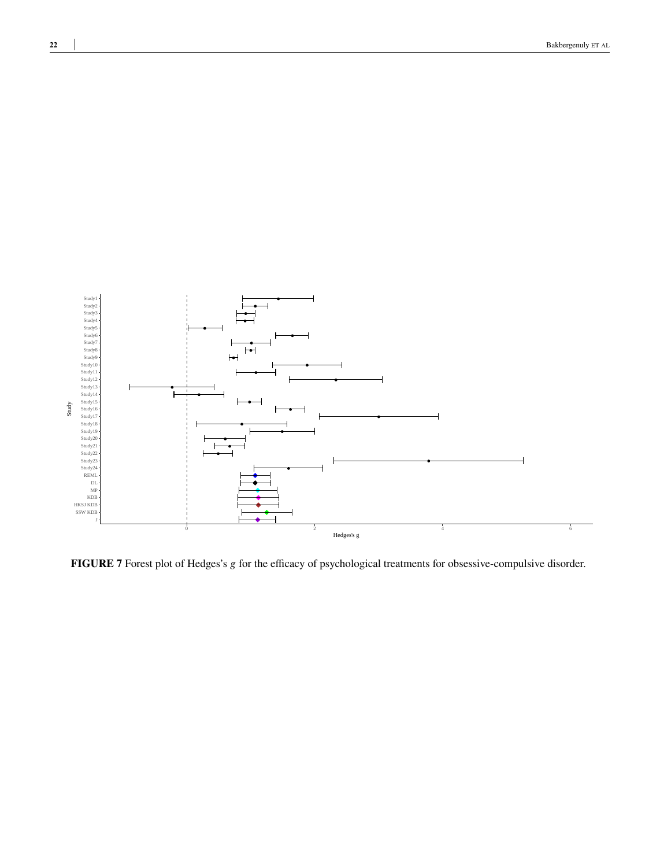<span id="page-21-0"></span>

**FIGURE 7** Forest plot of Hedges's *g* for the efficacy of psychological treatments for obsessive-compulsive disorder.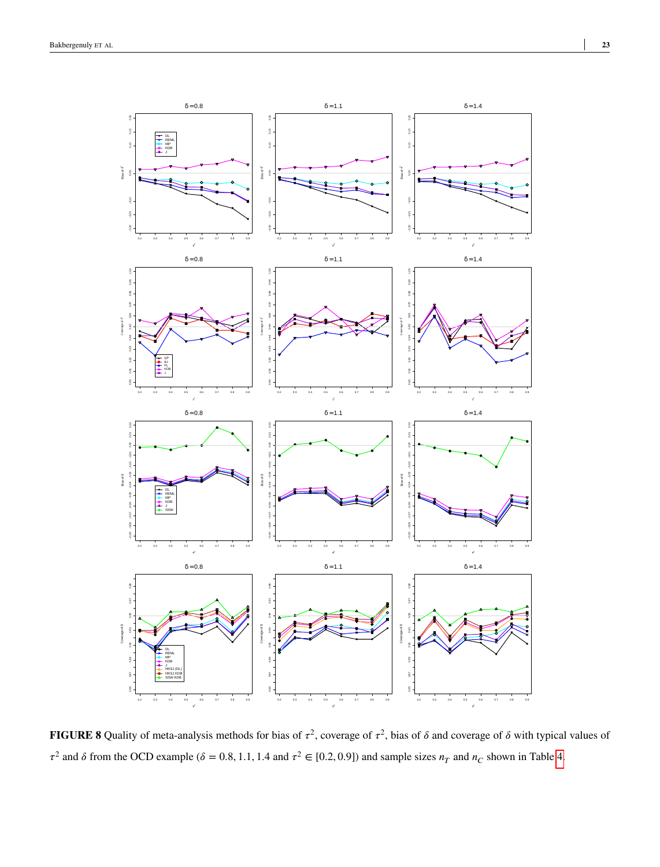<span id="page-22-0"></span>

**FIGURE 8** Quality of meta-analysis methods for bias of  $\tau^2$ , coverage of  $\tau^2$ , bias of  $\delta$  and coverage of  $\delta$  with typical values of  $\tau^2$  and  $\delta$  from the OCD example ( $\delta = 0.8, 1.1, 1.4$  and  $\tau^2 \in [0.2, 0.9]$ ) and sample sizes  $n_T$  and  $n_C$  shown in Table [4.](#page-14-0)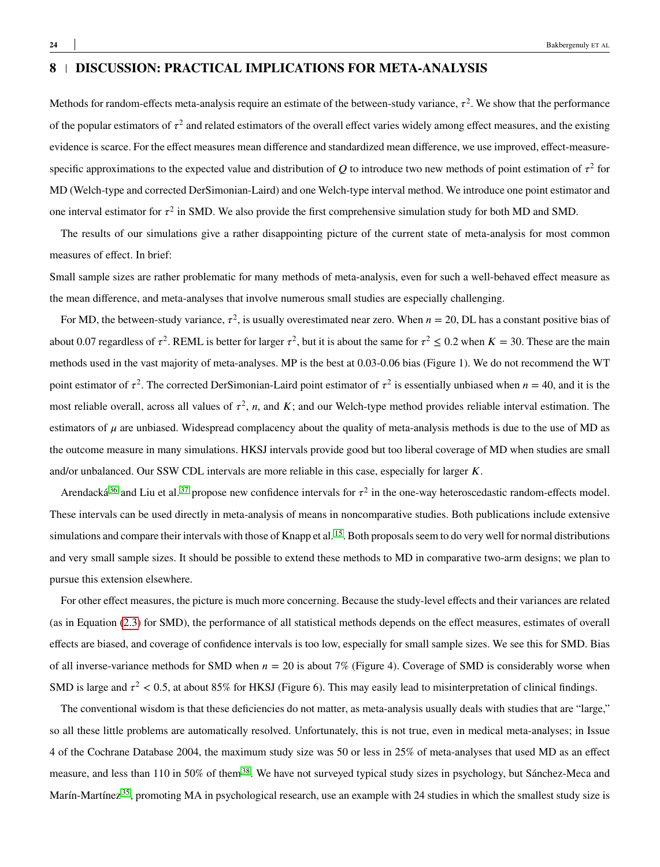Methods for random-effects meta-analysis require an estimate of the between-study variance,  $\tau^2$ . We show that the performance of the popular estimators of  $\tau^2$  and related estimators of the overall effect varies widely among effect measures, and the existing evidence is scarce. For the effect measures mean difference and standardized mean difference, we use improved, effect-measurespecific approximations to the expected value and distribution of  $Q$  to introduce two new methods of point estimation of  $\tau^2$  for MD (Welch-type and corrected DerSimonian-Laird) and one Welch-type interval method. We introduce one point estimator and one interval estimator for  $\tau^2$  in SMD. We also provide the first comprehensive simulation study for both MD and SMD.

The results of our simulations give a rather disappointing picture of the current state of meta-analysis for most common measures of effect. In brief:

Small sample sizes are rather problematic for many methods of meta-analysis, even for such a well-behaved effect measure as the mean difference, and meta-analyses that involve numerous small studies are especially challenging.

For MD, the between-study variance,  $\tau^2$ , is usually overestimated near zero. When  $n = 20$ , DL has a constant positive bias of about 0.07 regardless of  $\tau^2$ . REML is better for larger  $\tau^2$ , but it is about the same for  $\tau^2 \le 0.2$  when  $K = 30$ . These are the main methods used in the vast majority of meta-analyses. MP is the best at 0.03-0.06 bias (Figure 1). We do not recommend the WT point estimator of  $\tau^2$ . The corrected DerSimonian-Laird point estimator of  $\tau^2$  is essentially unbiased when  $n = 40$ , and it is the most reliable overall, across all values of  $\tau^2$ , *n*, and *K*; and our Welch-type method provides reliable interval estimation. The estimators of  $\mu$  are unbiased. Widespread complacency about the quality of meta-analysis methods is due to the use of MD as the outcome measure in many simulations. HKSJ intervals provide good but too liberal coverage of MD when studies are small and/or unbalanced. Our SSW CDL intervals are more reliable in this case, especially for larger *K*.

Arendacká<sup>[36](#page-27-6)</sup> and Liu et al.<sup>[37](#page-27-7)</sup> propose new confidence intervals for  $\tau^2$  in the one-way heteroscedastic random-effects model. These intervals can be used directly in meta-analysis of means in noncomparative studies. Both publications include extensive simulations and compare their intervals with those of Knapp et al. <sup>[15](#page-26-2)</sup>. Both proposals seem to do very well for normal distributions and very small sample sizes. It should be possible to extend these methods to MD in comparative two-arm designs; we plan to pursue this extension elsewhere.

For other effect measures, the picture is much more concerning. Because the study-level effects and their variances are related (as in Equation [\(2.3\)](#page-3-1) for SMD), the performance of all statistical methods depends on the effect measures, estimates of overall effects are biased, and coverage of confidence intervals is too low, especially for small sample sizes. We see this for SMD. Bias of all inverse-variance methods for SMD when  $n = 20$  is about 7% (Figure 4). Coverage of SMD is considerably worse when SMD is large and  $\tau^2$  < 0.5, at about 85% for HKSJ (Figure 6). This may easily lead to misinterpretation of clinical findings.

The conventional wisdom is that these deficiencies do not matter, as meta-analysis usually deals with studies that are "large," so all these little problems are automatically resolved. Unfortunately, this is not true, even in medical meta-analyses; in Issue 4 of the Cochrane Database 2004, the maximum study size was 50 or less in 25% of meta-analyses that used MD as an effect measure, and less than 110 in 50% of them<sup>[38](#page-27-8)</sup>. We have not surveyed typical study sizes in psychology, but Sánchez-Meca and Marín-Martínez<sup>[35](#page-27-5)</sup>, promoting MA in psychological research, use an example with 24 studies in which the smallest study size is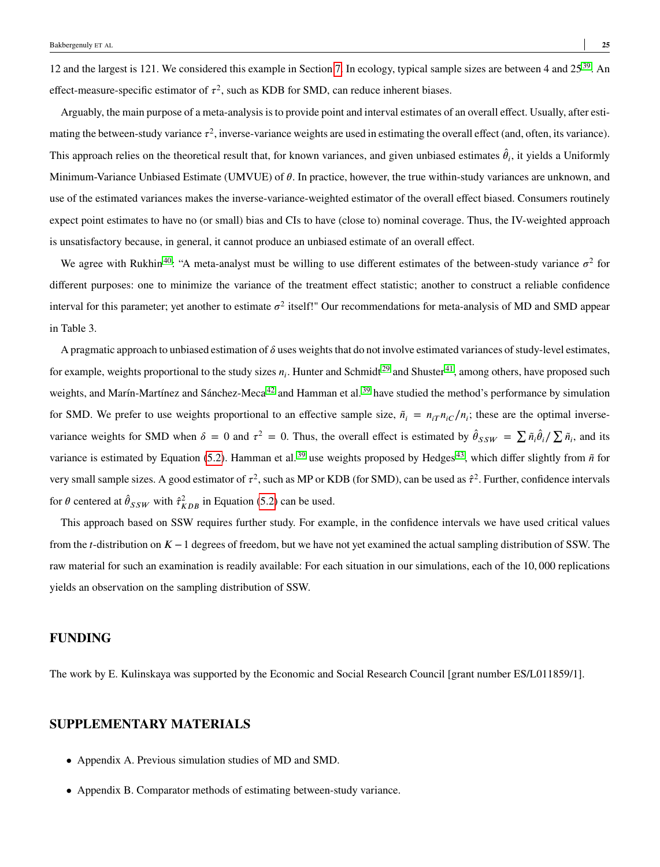12 and the largest is 121. We considered this example in Section [7.](#page-13-1) In ecology, typical sample sizes are between 4 and  $25^{39}$  $25^{39}$  $25^{39}$ . An effect-measure-specific estimator of  $\tau^2$ , such as KDB for SMD, can reduce inherent biases.

Arguably, the main purpose of a meta-analysis is to provide point and interval estimates of an overall effect. Usually, after estimating the between-study variance  $\tau^2$ , inverse-variance weights are used in estimating the overall effect (and, often, its variance). This approach relies on the theoretical result that, for known variances, and given unbiased estimates  $\hat{\theta}_i$ , it yields a Uniformly Minimum-Variance Unbiased Estimate (UMVUE) of *𝜃*. In practice, however, the true within-study variances are unknown, and use of the estimated variances makes the inverse-variance-weighted estimator of the overall effect biased. Consumers routinely expect point estimates to have no (or small) bias and CIs to have (close to) nominal coverage. Thus, the IV-weighted approach is unsatisfactory because, in general, it cannot produce an unbiased estimate of an overall effect.

We agree with Rukhin<sup>[40](#page-27-10)</sup>: "A meta-analyst must be willing to use different estimates of the between-study variance  $\sigma^2$  for different purposes: one to minimize the variance of the treatment effect statistic; another to construct a reliable confidence interval for this parameter; yet another to estimate  $\sigma^2$  itself!" Our recommendations for meta-analysis of MD and SMD appear in Table 3.

A pragmatic approach to unbiased estimation of  $\delta$  uses weights that do not involve estimated variances of study-level estimates, for example, weights proportional to the study sizes  $n_i$ . Hunter and Schmidt<sup>[29](#page-26-16)</sup> and Shuster<sup>[41](#page-27-11)</sup>, among others, have proposed such weights, and Marín-Martínez and Sánchez-Meca<sup>[42](#page-27-12)</sup> and Hamman et al.<sup>[39](#page-27-9)</sup> have studied the method's performance by simulation for SMD. We prefer to use weights proportional to an effective sample size,  $\tilde{n}_i = n_{iT} n_{iC}/n_i$ ; these are the optimal inversevariance weights for SMD when  $\delta = 0$  and  $\tau^2 = 0$ . Thus, the overall effect is estimated by  $\hat{\theta}_{SSW} = \sum \tilde{n}_i \hat{\theta}_i / \sum \tilde{n}_i$ , and its variance is estimated by Equation [\(5.2\)](#page-7-0). Hamman et al.<sup>[39](#page-27-9)</sup> use weights proposed by Hedges<sup>[43](#page-27-13)</sup>, which differ slightly from  $\tilde{n}$  for very small sample sizes. A good estimator of  $\tau^2$ , such as MP or KDB (for SMD), can be used as  $\hat{\tau}^2$ . Further, confidence intervals for  $\theta$  centered at  $\hat{\theta}_{SSW}$  with  $\hat{\tau}_{KDB}^2$  in Equation [\(5.2\)](#page-7-0) can be used.

This approach based on SSW requires further study. For example, in the confidence intervals we have used critical values from the *𝑡*-distribution on *𝐾* − 1 degrees of freedom, but we have not yet examined the actual sampling distribution of SSW. The raw material for such an examination is readily available: For each situation in our simulations, each of the 10*,* 000 replications yields an observation on the sampling distribution of SSW.

## **FUNDING**

The work by E. Kulinskaya was supported by the Economic and Social Research Council [grant number ES/L011859/1].

# **SUPPLEMENTARY MATERIALS**

- Appendix A. Previous simulation studies of MD and SMD.
- Appendix B. Comparator methods of estimating between-study variance.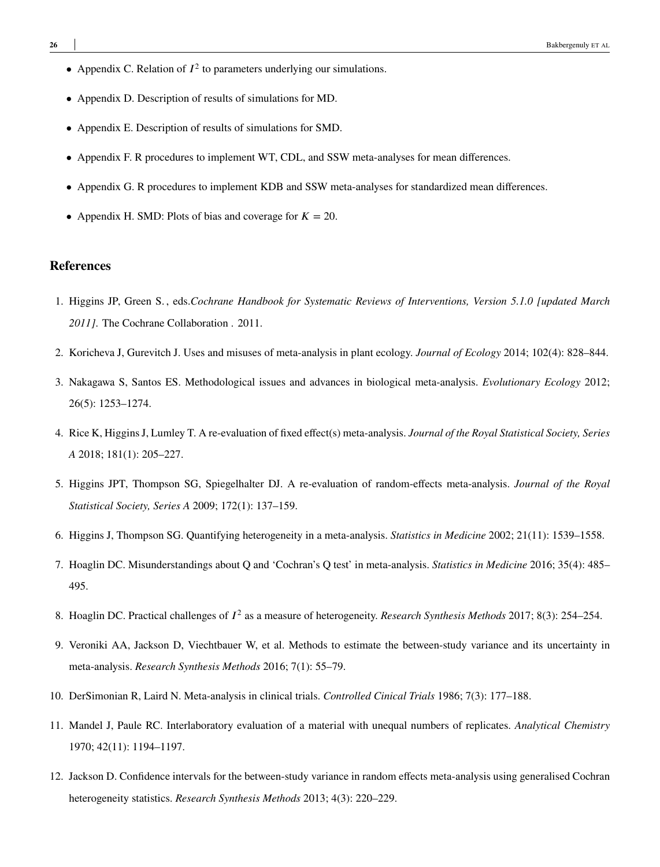- Appendix C. Relation of  $I^2$  to parameters underlying our simulations.
- Appendix D. Description of results of simulations for MD.
- Appendix E. Description of results of simulations for SMD.
- Appendix F. R procedures to implement WT, CDL, and SSW meta-analyses for mean differences.
- Appendix G. R procedures to implement KDB and SSW meta-analyses for standardized mean differences.
- Appendix H. SMD: Plots of bias and coverage for  $K = 20$ .

#### **References**

- <span id="page-25-0"></span>1. Higgins JP, Green S. , eds.*Cochrane Handbook for Systematic Reviews of Interventions, Version 5.1.0 [updated March 2011]*. The Cochrane Collaboration . 2011.
- <span id="page-25-1"></span>2. Koricheva J, Gurevitch J. Uses and misuses of meta-analysis in plant ecology. *Journal of Ecology* 2014; 102(4): 828–844.
- <span id="page-25-2"></span>3. Nakagawa S, Santos ES. Methodological issues and advances in biological meta-analysis. *Evolutionary Ecology* 2012; 26(5): 1253–1274.
- <span id="page-25-3"></span>4. Rice K, Higgins J, Lumley T. A re-evaluation of fixed effect(s) meta-analysis. *Journal of the Royal Statistical Society, Series A* 2018; 181(1): 205–227.
- <span id="page-25-4"></span>5. Higgins JPT, Thompson SG, Spiegelhalter DJ. A re-evaluation of random-effects meta-analysis. *Journal of the Royal Statistical Society, Series A* 2009; 172(1): 137–159.
- <span id="page-25-5"></span>6. Higgins J, Thompson SG. Quantifying heterogeneity in a meta-analysis. *Statistics in Medicine* 2002; 21(11): 1539–1558.
- <span id="page-25-6"></span>7. Hoaglin DC. Misunderstandings about Q and 'Cochran's Q test' in meta-analysis. *Statistics in Medicine* 2016; 35(4): 485– 495.
- <span id="page-25-7"></span>8. Hoaglin DC. Practical challenges of  $I^2$  as a measure of heterogeneity. *Research Synthesis Methods* 2017; 8(3): 254–254.
- <span id="page-25-8"></span>9. Veroniki AA, Jackson D, Viechtbauer W, et al. Methods to estimate the between-study variance and its uncertainty in meta-analysis. *Research Synthesis Methods* 2016; 7(1): 55–79.
- <span id="page-25-9"></span>10. DerSimonian R, Laird N. Meta-analysis in clinical trials. *Controlled Cinical Trials* 1986; 7(3): 177–188.
- <span id="page-25-10"></span>11. Mandel J, Paule RC. Interlaboratory evaluation of a material with unequal numbers of replicates. *Analytical Chemistry* 1970; 42(11): 1194–1197.
- <span id="page-25-11"></span>12. Jackson D. Confidence intervals for the between-study variance in random effects meta-analysis using generalised Cochran heterogeneity statistics. *Research Synthesis Methods* 2013; 4(3): 220–229.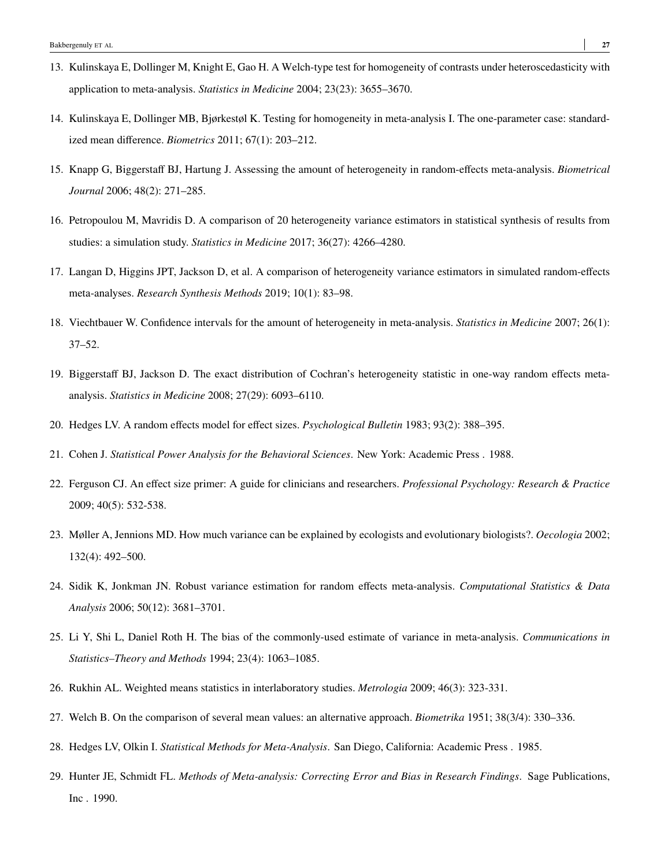- <span id="page-26-0"></span>13. Kulinskaya E, Dollinger M, Knight E, Gao H. A Welch-type test for homogeneity of contrasts under heteroscedasticity with application to meta-analysis. *Statistics in Medicine* 2004; 23(23): 3655–3670.
- <span id="page-26-1"></span>14. Kulinskaya E, Dollinger MB, Bjørkestøl K. Testing for homogeneity in meta-analysis I. The one-parameter case: standardized mean difference. *Biometrics* 2011; 67(1): 203–212.
- <span id="page-26-2"></span>15. Knapp G, Biggerstaff BJ, Hartung J. Assessing the amount of heterogeneity in random-effects meta-analysis. *Biometrical Journal* 2006; 48(2): 271–285.
- <span id="page-26-3"></span>16. Petropoulou M, Mavridis D. A comparison of 20 heterogeneity variance estimators in statistical synthesis of results from studies: a simulation study. *Statistics in Medicine* 2017; 36(27): 4266–4280.
- <span id="page-26-4"></span>17. Langan D, Higgins JPT, Jackson D, et al. A comparison of heterogeneity variance estimators in simulated random-effects meta-analyses. *Research Synthesis Methods* 2019; 10(1): 83–98.
- <span id="page-26-5"></span>18. Viechtbauer W. Confidence intervals for the amount of heterogeneity in meta-analysis. *Statistics in Medicine* 2007; 26(1): 37–52.
- <span id="page-26-6"></span>19. Biggerstaff BJ, Jackson D. The exact distribution of Cochran's heterogeneity statistic in one-way random effects metaanalysis. *Statistics in Medicine* 2008; 27(29): 6093–6110.
- <span id="page-26-7"></span>20. Hedges LV. A random effects model for effect sizes. *Psychological Bulletin* 1983; 93(2): 388–395.
- <span id="page-26-8"></span>21. Cohen J. *Statistical Power Analysis for the Behavioral Sciences*. New York: Academic Press . 1988.
- <span id="page-26-9"></span>22. Ferguson CJ. An effect size primer: A guide for clinicians and researchers. *Professional Psychology: Research & Practice* 2009; 40(5): 532-538.
- <span id="page-26-10"></span>23. Møller A, Jennions MD. How much variance can be explained by ecologists and evolutionary biologists?. *Oecologia* 2002; 132(4): 492–500.
- <span id="page-26-11"></span>24. Sidik K, Jonkman JN. Robust variance estimation for random effects meta-analysis. *Computational Statistics & Data Analysis* 2006; 50(12): 3681–3701.
- <span id="page-26-12"></span>25. Li Y, Shi L, Daniel Roth H. The bias of the commonly-used estimate of variance in meta-analysis. *Communications in Statistics–Theory and Methods* 1994; 23(4): 1063–1085.
- <span id="page-26-13"></span>26. Rukhin AL. Weighted means statistics in interlaboratory studies. *Metrologia* 2009; 46(3): 323-331.
- <span id="page-26-14"></span>27. Welch B. On the comparison of several mean values: an alternative approach. *Biometrika* 1951; 38(3/4): 330–336.
- <span id="page-26-15"></span>28. Hedges LV, Olkin I. *Statistical Methods for Meta-Analysis*. San Diego, California: Academic Press . 1985.
- <span id="page-26-16"></span>29. Hunter JE, Schmidt FL. *Methods of Meta-analysis: Correcting Error and Bias in Research Findings*. Sage Publications, Inc . 1990.